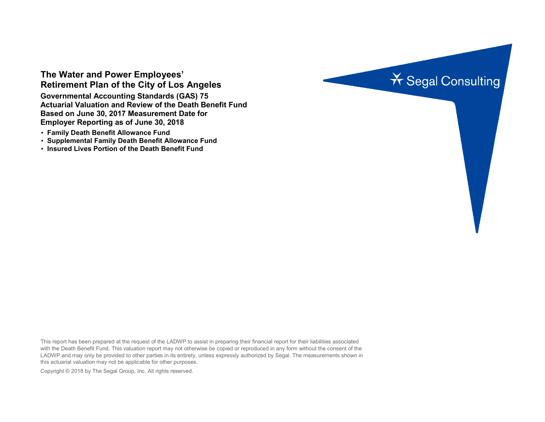# **The Water and Power Employees' Retirement Plan of the City of Los Angeles**

**Governmental Accounting Standards (GAS) 75 Actuarial Valuation and Review of the Death Benefit Fund Based on June 30, 2017 Measurement Date for Employer Reporting as of June 30, 2018**

- **Family Death Benefit Allowance Fund**
- **Supplemental Family Death Benefit Allowance Fund**
- **Insured Lives Portion of the Death Benefit Fund**



This report has been prepared at the request of the LADWP to assist in preparing their financial report for their liabilities associated with the Death Benefit Fund. This valuation report may not otherwise be copied or reproduced in any form without the consent of the LADWP and may only be provided to other parties in its entirety, unless expressly authorized by Segal. The measurements shown in this actuarial valuation may not be applicable for other purposes.

Copyright © 2018 by The Segal Group, Inc. All rights reserved.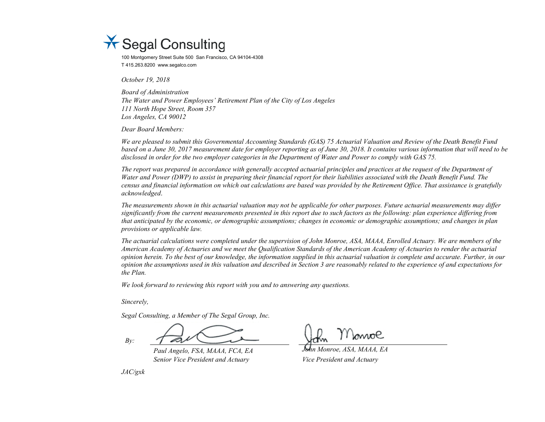

100 Montgomery Street Suite 500 San Francisco, CA 94104-4308 T 415.263.8200 www.segalco.com

*October 19, 2018*

*Board of Administration The Water and Power Employees' Retirement Plan of the City of Los Angeles 111 North Hope Street, Room 357 Los Angeles, CA 90012*

*Dear Board Members:*

*We are pleased to submit this Governmental Accounting Standards (GAS) 75 Actuarial Valuation and Review of the Death Benefit Fund based on a June 30, 2017 measurement date for employer reporting as of June 30, 2018. It contains various information that will need to be disclosed in order for the two employer categories in the Department of Water and Power to comply with GAS 75.*

*The report was prepared in accordance with generally accepted actuarial principles and practices at the request of the Department of Water and Power (DWP) to assist in preparing their financial report for their liabilities associated with the Death Benefit Fund. The census and financial information on which out calculations are based was provided by the Retirement Office. That assistance is gratefully acknowledged*.

*The measurements shown in this actuarial valuation may not be applicable for other purposes. Future actuarial measurements may differ significantly from the current measurements presented in this report due to such factors as the following: plan experience differing from that anticipated by the economic, or demographic assumptions; changes in economic or demographic assumptions; and changes in plan provisions or applicable law.*

*The actuarial calculations were completed under the supervision of John Monroe, ASA, MAAA, Enrolled Actuary. We are members of the American Academy of Actuaries and we meet the Qualification Standards of the American Academy of Actuaries to render the actuarial opinion herein. To the best of our knowledge, the information supplied in this actuarial valuation is complete and accurate. Further, in our opinion the assumptions used in this valuation and described in Section 3 are reasonably related to the experience of and expectations for the Plan.*

*We look forward to reviewing this report with you and to answering any questions.*

*Sincerely,*

*Segal Consulting, a Member of The Segal Group, Inc.*

*By:*

*Paul Angelo, FSA, MAAA, FCA, EA John Monroe, ASA, MAAA, EA Senior Vice President and Actuary Vice President and Actuary*

*JAC/gxk*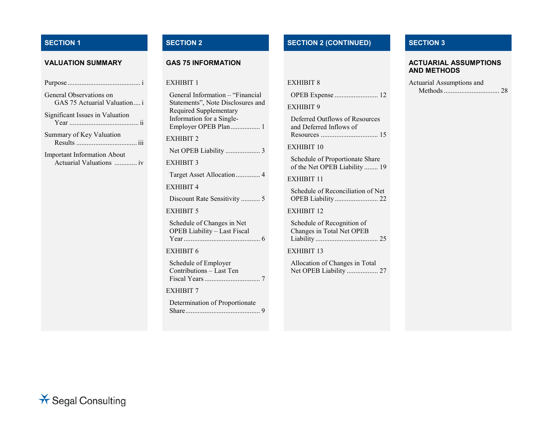| General Observations on<br>GAS 75 Actuarial Valuation i        |
|----------------------------------------------------------------|
| Significant Issues in Valuation                                |
| Summary of Key Valuation                                       |
| <b>Important Information About</b><br>Actuarial Valuations  iv |
|                                                                |
|                                                                |
|                                                                |
|                                                                |

| General Information - "Financial<br>Statements", Note Disclosures and<br>Required Supplementary<br>Information for a Single-<br>Employer OPEB Plan 1 |
|------------------------------------------------------------------------------------------------------------------------------------------------------|
| EXHIBIT 2                                                                                                                                            |
| Net OPEB Liability  3                                                                                                                                |
| <b>EXHIBIT 3</b>                                                                                                                                     |
| Target Asset Allocation 4                                                                                                                            |
| <b>EXHIBIT 4</b>                                                                                                                                     |
| Discount Rate Sensitivity  5                                                                                                                         |
| EXHIBIT 5                                                                                                                                            |
| Schedule of Changes in Net<br><b>OPEB Liability - Last Fiscal</b>                                                                                    |
| EXHIBIT 6                                                                                                                                            |
| Schedule of Employer<br>Contributions - Last Ten                                                                                                     |
| <b>EXHIBIT 7</b>                                                                                                                                     |
| Determination of Proportionate                                                                                                                       |

# **SECTION 1 SECTION 2 SECTION 2 (CONTINUED) SECTION 3**

| EXHIBIT 8 |  |
|-----------|--|
|-----------|--|

|--|--|--|

EXHIBIT 9

Deferred Outflows of Resources and Deferred Inflows of Resources ................................. 15

EXHIBIT 10

Schedule of Proportionate Share of the Net OPEB Liability ........ 19

EXHIBIT 11

Schedule of Reconciliation of Net OPEB Liability......................... 22

EXHIBIT 12

Schedule of Recognition of Changes in Total Net OPEB Liability .................................... 25

EXHIBIT 13

Allocation of Changes in Total Net OPEB Liability .................. 27

#### **VALUATION SUMMARY GAS 75 INFORMATION ACTUARIAL ASSUMPTIONS AND METHODS**

| Actuarial Assumptions and |  |
|---------------------------|--|
|                           |  |

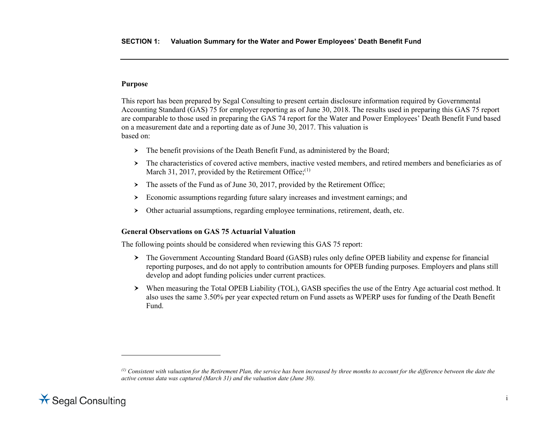#### <span id="page-3-0"></span>**Purpose**

This report has been prepared by Segal Consulting to present certain disclosure information required by Governmental Accounting Standard (GAS) 75 for employer reporting as of June 30, 2018. The results used in preparing this GAS 75 report are comparable to those used in preparing the GAS 74 report for the Water and Power Employees' Death Benefit Fund based on a measurement date and a reporting date as of June 30, 2017. This valuation is based on:

- > The benefit provisions of the Death Benefit Fund, as administered by the Board;
- $\geq$  The characteristics of covered active members, inactive vested members, and retired members and beneficiaries as of March 31, 2017, provided by the Retirement Office; $(1)$  $(1)$
- $\triangleright$  The assets of the Fund as of June 30, 2017, provided by the Retirement Office;
- Economic assumptions regarding future salary increases and investment earnings; and
- Other actuarial assumptions, regarding employee terminations, retirement, death, etc.

### **General Observations on GAS 75 Actuarial Valuation**

The following points should be considered when reviewing this GAS 75 report:

- The Government Accounting Standard Board (GASB) rules only define OPEB liability and expense for financial reporting purposes, and do not apply to contribution amounts for OPEB funding purposes. Employers and plans still develop and adopt funding policies under current practices.
- When measuring the Total OPEB Liability (TOL), GASB specifies the use of the Entry Age actuarial cost method. It also uses the same 3.50% per year expected return on Fund assets as WPERP uses for funding of the Death Benefit Fund.

*<sup>(1)</sup> Consistent with valuation for the Retirement Plan, the service has been increased by three months to account for the difference between the date the active census data was captured (March 31) and the valuation date (June 30).* 



 $\overline{a}$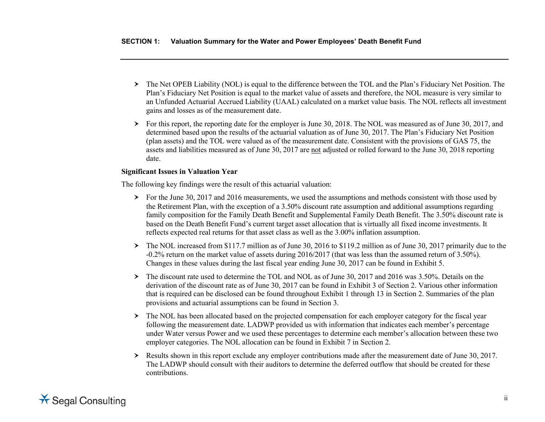- The Net OPEB Liability (NOL) is equal to the difference between the TOL and the Plan's Fiduciary Net Position. The Plan's Fiduciary Net Position is equal to the market value of assets and therefore, the NOL measure is very similar to an Unfunded Actuarial Accrued Liability (UAAL) calculated on a market value basis. The NOL reflects all investment gains and losses as of the measurement date.
- For this report, the reporting date for the employer is June 30, 2018. The NOL was measured as of June 30, 2017, and determined based upon the results of the actuarial valuation as of June 30, 2017. The Plan's Fiduciary Net Position (plan assets) and the TOL were valued as of the measurement date. Consistent with the provisions of GAS 75, the assets and liabilities measured as of June 30, 2017 are not adjusted or rolled forward to the June 30, 2018 reporting date.

# **Significant Issues in Valuation Year**

The following key findings were the result of this actuarial valuation:

- $\geq$  For the June 30, 2017 and 2016 measurements, we used the assumptions and methods consistent with those used by the Retirement Plan, with the exception of a 3.50% discount rate assumption and additional assumptions regarding family composition for the Family Death Benefit and Supplemental Family Death Benefit. The 3.50% discount rate is based on the Death Benefit Fund's current target asset allocation that is virtually all fixed income investments. It reflects expected real returns for that asset class as well as the 3.00% inflation assumption.
- $\geq$  The NOL increased from \$117.7 million as of June 30, 2016 to \$119.2 million as of June 30, 2017 primarily due to the -0.2% return on the market value of assets during 2016/2017 (that was less than the assumed return of 3.50%). Changes in these values during the last fiscal year ending June 30, 2017 can be found in Exhibit 5.
- The discount rate used to determine the TOL and NOL as of June 30, 2017 and 2016 was 3.50%. Details on the derivation of the discount rate as of June 30, 2017 can be found in Exhibit 3 of Section 2. Various other information that is required can be disclosed can be found throughout Exhibit 1 through 13 in Section 2. Summaries of the plan provisions and actuarial assumptions can be found in Section 3.
- $\geq$  The NOL has been allocated based on the projected compensation for each employer category for the fiscal year following the measurement date. LADWP provided us with information that indicates each member's percentage under Water versus Power and we used these percentages to determine each member's allocation between these two employer categories. The NOL allocation can be found in Exhibit 7 in Section 2.
- $\triangleright$  Results shown in this report exclude any employer contributions made after the measurement date of June 30, 2017. The LADWP should consult with their auditors to determine the deferred outflow that should be created for these contributions.

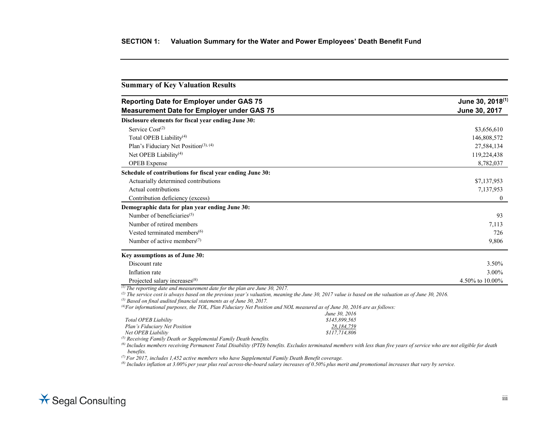| <b>Reporting Date for Employer under GAS 75</b>                                                                                                                                                                                                                                                                                                                                                                                                                                      | June 30, 2018 <sup>(1)</sup> |
|--------------------------------------------------------------------------------------------------------------------------------------------------------------------------------------------------------------------------------------------------------------------------------------------------------------------------------------------------------------------------------------------------------------------------------------------------------------------------------------|------------------------------|
| <b>Measurement Date for Employer under GAS 75</b>                                                                                                                                                                                                                                                                                                                                                                                                                                    | June 30, 2017                |
| Disclosure elements for fiscal year ending June 30:                                                                                                                                                                                                                                                                                                                                                                                                                                  |                              |
| Service $Cost(2)$                                                                                                                                                                                                                                                                                                                                                                                                                                                                    | \$3,656,610                  |
| Total OPEB Liability $(4)$                                                                                                                                                                                                                                                                                                                                                                                                                                                           | 146,808,572                  |
| Plan's Fiduciary Net Position <sup>(3), (4)</sup>                                                                                                                                                                                                                                                                                                                                                                                                                                    | 27,584,134                   |
| Net OPEB Liability <sup>(4)</sup>                                                                                                                                                                                                                                                                                                                                                                                                                                                    | 119,224,438                  |
| <b>OPEB</b> Expense                                                                                                                                                                                                                                                                                                                                                                                                                                                                  | 8,782,037                    |
| Schedule of contributions for fiscal year ending June 30:                                                                                                                                                                                                                                                                                                                                                                                                                            |                              |
| Actuarially determined contributions                                                                                                                                                                                                                                                                                                                                                                                                                                                 | \$7,137,953                  |
| Actual contributions                                                                                                                                                                                                                                                                                                                                                                                                                                                                 | 7,137,953                    |
| Contribution deficiency (excess)                                                                                                                                                                                                                                                                                                                                                                                                                                                     | $\boldsymbol{0}$             |
| Demographic data for plan year ending June 30:                                                                                                                                                                                                                                                                                                                                                                                                                                       |                              |
| Number of beneficiaries <sup><math>(5)</math></sup>                                                                                                                                                                                                                                                                                                                                                                                                                                  | 93                           |
| Number of retired members                                                                                                                                                                                                                                                                                                                                                                                                                                                            | 7.113                        |
| Vested terminated members $(6)$                                                                                                                                                                                                                                                                                                                                                                                                                                                      | 726                          |
| Number of active members <sup><math>(7)</math></sup>                                                                                                                                                                                                                                                                                                                                                                                                                                 | 9,806                        |
| Key assumptions as of June 30:                                                                                                                                                                                                                                                                                                                                                                                                                                                       |                              |
| Discount rate                                                                                                                                                                                                                                                                                                                                                                                                                                                                        | 3.50%                        |
| Inflation rate                                                                                                                                                                                                                                                                                                                                                                                                                                                                       | 3.00%                        |
| Projected salary increases <sup>(8)</sup>                                                                                                                                                                                                                                                                                                                                                                                                                                            | 4.50% to 10.00%              |
| $\overline{^{(1)}}$ The reporting date and measurement date for the plan are June 30, 2017.<br><sup>(2)</sup> The service cost is always based on the previous year's valuation, meaning the June 30, 2017 value is based on the valuation as of June 30, 2016.<br>$^{(3)}$ Based on final audited financial statements as of June 30, 2017.<br><sup>(4)</sup> For informational purposes, the TOL, Plan Fiduciary Net Position and NOL measured as of June 30, 2016 are as follows: |                              |

|                               | June 30, 2016 |
|-------------------------------|---------------|
| Total OPEB Liability          | \$145.899.565 |
| Plan's Fiduciary Net Position | 28.184.759    |
| Net OPEB Liability            | \$117,714,806 |
|                               |               |

*(5) Receiving Family Death or Supplemental Family Death benefits.*

*(6) Includes members receiving Permanent Total Disability (PTD) benefits. Excludes terminated members with less than five years of service who are not eligible for death benefits.*

*(7) For 2017, includes 1,452 active members who have Supplemental Family Death Benefit coverage.*

*(8) Includes inflation at 3.00% per year plus real across-the-board salary increases of 0.50% plus merit and promotional increases that vary by service.*

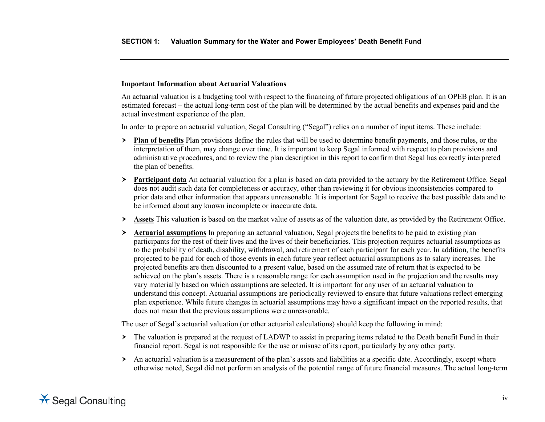#### **Important Information about Actuarial Valuations**

An actuarial valuation is a budgeting tool with respect to the financing of future projected obligations of an OPEB plan. It is an estimated forecast – the actual long-term cost of the plan will be determined by the actual benefits and expenses paid and the actual investment experience of the plan.

In order to prepare an actuarial valuation, Segal Consulting ("Segal") relies on a number of input items. These include:

- **Plan of benefits** Plan provisions define the rules that will be used to determine benefit payments, and those rules, or the interpretation of them, may change over time. It is important to keep Segal informed with respect to plan provisions and administrative procedures, and to review the plan description in this report to confirm that Segal has correctly interpreted the plan of benefits.
- **Participant data** An actuarial valuation for a plan is based on data provided to the actuary by the Retirement Office. Segal does not audit such data for completeness or accuracy, other than reviewing it for obvious inconsistencies compared to prior data and other information that appears unreasonable. It is important for Segal to receive the best possible data and to be informed about any known incomplete or inaccurate data.
- **Assets** This valuation is based on the market value of assets as of the valuation date, as provided by the Retirement Office.
- **Actuarial assumptions** In preparing an actuarial valuation, Segal projects the benefits to be paid to existing plan participants for the rest of their lives and the lives of their beneficiaries. This projection requires actuarial assumptions as to the probability of death, disability, withdrawal, and retirement of each participant for each year. In addition, the benefits projected to be paid for each of those events in each future year reflect actuarial assumptions as to salary increases. The projected benefits are then discounted to a present value, based on the assumed rate of return that is expected to be achieved on the plan's assets. There is a reasonable range for each assumption used in the projection and the results may vary materially based on which assumptions are selected. It is important for any user of an actuarial valuation to understand this concept. Actuarial assumptions are periodically reviewed to ensure that future valuations reflect emerging plan experience. While future changes in actuarial assumptions may have a significant impact on the reported results, that does not mean that the previous assumptions were unreasonable.

The user of Segal's actuarial valuation (or other actuarial calculations) should keep the following in mind:

- $\geq$  The valuation is prepared at the request of LADWP to assist in preparing items related to the Death benefit Fund in their financial report. Segal is not responsible for the use or misuse of its report, particularly by any other party.
- An actuarial valuation is a measurement of the plan's assets and liabilities at a specific date. Accordingly, except where otherwise noted, Segal did not perform an analysis of the potential range of future financial measures. The actual long-term

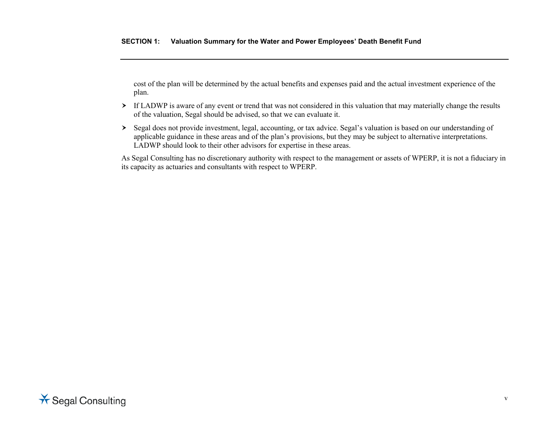cost of the plan will be determined by the actual benefits and expenses paid and the actual investment experience of the plan.

- If LADWP is aware of any event or trend that was not considered in this valuation that may materially change the results of the valuation, Segal should be advised, so that we can evaluate it.
- Segal does not provide investment, legal, accounting, or tax advice. Segal's valuation is based on our understanding of applicable guidance in these areas and of the plan's provisions, but they may be subject to alternative interpretations. LADWP should look to their other advisors for expertise in these areas.

As Segal Consulting has no discretionary authority with respect to the management or assets of WPERP, it is not a fiduciary in its capacity as actuaries and consultants with respect to WPERP.

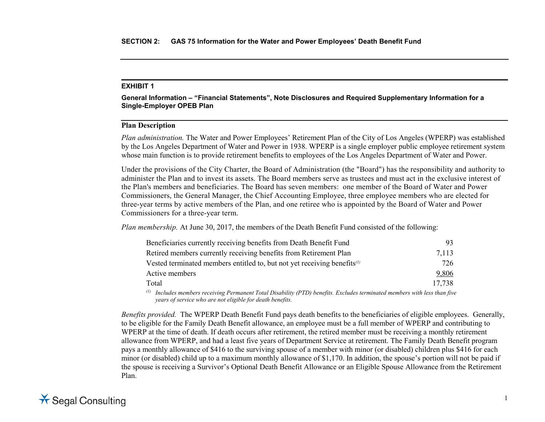**General Information – "Financial Statements", Note Disclosures and Required Supplementary Information for a Single-Employer OPEB Plan**

# **Plan Description**

*Plan administration.* The Water and Power Employees' Retirement Plan of the City of Los Angeles (WPERP) was established by the Los Angeles Department of Water and Power in 1938. WPERP is a single employer public employee retirement system whose main function is to provide retirement benefits to employees of the Los Angeles Department of Water and Power.

Under the provisions of the City Charter, the Board of Administration (the "Board") has the responsibility and authority to administer the Plan and to invest its assets. The Board members serve as trustees and must act in the exclusive interest of the Plan's members and beneficiaries. The Board has seven members: one member of the Board of Water and Power Commissioners, the General Manager, the Chief Accounting Employee, three employee members who are elected for three-year terms by active members of the Plan, and one retiree who is appointed by the Board of Water and Power Commissioners for a three-year term.

*Plan membership.* At June 30, 2017, the members of the Death Benefit Fund consisted of the following:

| Beneficiaries currently receiving benefits from Death Benefit Fund                                                                                                                                                                                                                                                                                                 | 93                                                                                                                                                                                                                                                                                                                            |
|--------------------------------------------------------------------------------------------------------------------------------------------------------------------------------------------------------------------------------------------------------------------------------------------------------------------------------------------------------------------|-------------------------------------------------------------------------------------------------------------------------------------------------------------------------------------------------------------------------------------------------------------------------------------------------------------------------------|
| Retired members currently receiving benefits from Retirement Plan                                                                                                                                                                                                                                                                                                  | 7,113                                                                                                                                                                                                                                                                                                                         |
| Vested terminated members entitled to, but not yet receiving benefits $\alpha$                                                                                                                                                                                                                                                                                     | 726                                                                                                                                                                                                                                                                                                                           |
| Active members                                                                                                                                                                                                                                                                                                                                                     | 9,806                                                                                                                                                                                                                                                                                                                         |
| Total                                                                                                                                                                                                                                                                                                                                                              | 17,738                                                                                                                                                                                                                                                                                                                        |
| $(1)$ $\bf{r}$ $\bf{r}$ $\bf{r}$<br>$\mathbf{I}$ . The $\mathbf{I}$ of $\mathbf{I}$ $\mathbf{I}$ $\mathbf{I}$ $\mathbf{I}$ $\mathbf{I}$ $\mathbf{I}$ $\mathbf{I}$ $\mathbf{I}$ $\mathbf{I}$ $\mathbf{I}$ $\mathbf{I}$ $\mathbf{I}$ $\mathbf{I}$ $\mathbf{I}$ $\mathbf{I}$ $\mathbf{I}$ $\mathbf{I}$ $\mathbf{I}$ $\mathbf{I}$ $\mathbf{I}$ $\mathbf{I}$ $\mathbf{$ | $\cdot$ , $\cdot$ , $\cdot$ , $\cdot$ , $\cdot$ , $\cdot$ , $\cdot$ , $\cdot$ , $\cdot$ , $\cdot$ , $\cdot$ , $\cdot$ , $\cdot$ , $\cdot$ , $\cdot$ , $\cdot$ , $\cdot$ , $\cdot$ , $\cdot$ , $\cdot$ , $\cdot$ , $\cdot$ , $\cdot$ , $\cdot$ , $\cdot$ , $\cdot$ , $\cdot$ , $\cdot$ , $\cdot$ , $\cdot$ , $\cdot$ , $\cdot$ |

*(1) Includes members receiving Permanent Total Disability (PTD) benefits. Excludes terminated members with less than five years of service who are not eligible for death benefits.*

*Benefits provided.* The WPERP Death Benefit Fund pays death benefits to the beneficiaries of eligible employees. Generally, to be eligible for the Family Death Benefit allowance, an employee must be a full member of WPERP and contributing to WPERP at the time of death. If death occurs after retirement, the retired member must be receiving a monthly retirement allowance from WPERP, and had a least five years of Department Service at retirement. The Family Death Benefit program pays a monthly allowance of \$416 to the surviving spouse of a member with minor (or disabled) children plus \$416 for each minor (or disabled) child up to a maximum monthly allowance of \$1,170. In addition, the spouse's portion will not be paid if the spouse is receiving a Survivor's Optional Death Benefit Allowance or an Eligible Spouse Allowance from the Retirement Plan.

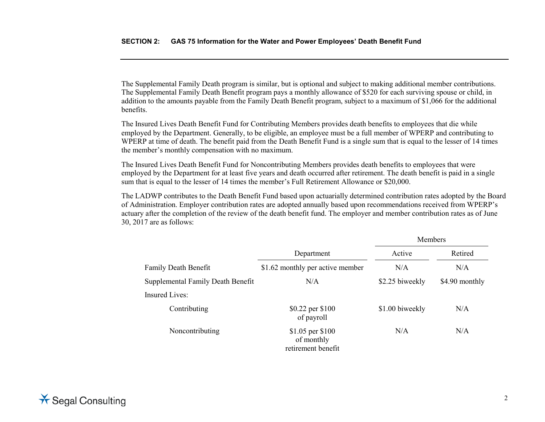The Supplemental Family Death program is similar, but is optional and subject to making additional member contributions. The Supplemental Family Death Benefit program pays a monthly allowance of \$520 for each surviving spouse or child, in addition to the amounts payable from the Family Death Benefit program, subject to a maximum of \$1,066 for the additional benefits.

The Insured Lives Death Benefit Fund for Contributing Members provides death benefits to employees that die while employed by the Department. Generally, to be eligible, an employee must be a full member of WPERP and contributing to WPERP at time of death. The benefit paid from the Death Benefit Fund is a single sum that is equal to the lesser of 14 times the member's monthly compensation with no maximum.

The Insured Lives Death Benefit Fund for Noncontributing Members provides death benefits to employees that were employed by the Department for at least five years and death occurred after retirement. The death benefit is paid in a single sum that is equal to the lesser of 14 times the member's Full Retirement Allowance or \$20,000.

The LADWP contributes to the Death Benefit Fund based upon actuarially determined contribution rates adopted by the Board of Administration. Employer contribution rates are adopted annually based upon recommendations received from WPERP's actuary after the completion of the review of the death benefit fund. The employer and member contribution rates as of June 30, 2017 are as follows:

|                                   |                                                      | Members         |                |
|-----------------------------------|------------------------------------------------------|-----------------|----------------|
|                                   | Department                                           | Active          | Retired        |
| <b>Family Death Benefit</b>       | \$1.62 monthly per active member                     | N/A             | N/A            |
| Supplemental Family Death Benefit | N/A                                                  | \$2.25 biweekly | \$4.90 monthly |
| <b>Insured Lives:</b>             |                                                      |                 |                |
| Contributing                      | \$0.22 per \$100<br>of payroll                       | \$1.00 biweekly | N/A            |
| Noncontributing                   | \$1.05 per \$100<br>of monthly<br>retirement benefit | N/A             | N/A            |

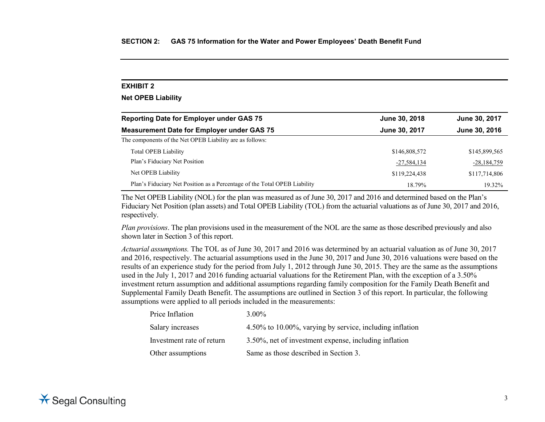# **Net OPEB Liability**

| <b>Reporting Date for Employer under GAS 75</b>                           | June 30, 2018 | June 30, 2017 |
|---------------------------------------------------------------------------|---------------|---------------|
| <b>Measurement Date for Employer under GAS 75</b>                         | June 30, 2017 | June 30, 2016 |
| The components of the Net OPEB Liability are as follows:                  |               |               |
| Total OPEB Liability                                                      | \$146,808,572 | \$145,899,565 |
| Plan's Fiduciary Net Position                                             | $-27,584,134$ | $-28,184,759$ |
| Net OPEB Liability                                                        | \$119,224,438 | \$117,714,806 |
| Plan's Fiduciary Net Position as a Percentage of the Total OPEB Liability | 18.79%        | 19.32%        |

The Net OPEB Liability (NOL) for the plan was measured as of June 30, 2017 and 2016 and determined based on the Plan's Fiduciary Net Position (plan assets) and Total OPEB Liability (TOL) from the actuarial valuations as of June 30, 2017 and 2016, respectively.

*Plan provisions*. The plan provisions used in the measurement of the NOL are the same as those described previously and also shown later in Section 3 of this report.

*Actuarial assumptions.* The TOL as of June 30, 2017 and 2016 was determined by an actuarial valuation as of June 30, 2017 and 2016, respectively. The actuarial assumptions used in the June 30, 2017 and June 30, 2016 valuations were based on the results of an experience study for the period from July 1, 2012 through June 30, 2015. They are the same as the assumptions used in the July 1, 2017 and 2016 funding actuarial valuations for the Retirement Plan, with the exception of a 3.50% investment return assumption and additional assumptions regarding family composition for the Family Death Benefit and Supplemental Family Death Benefit. The assumptions are outlined in Section 3 of this report. In particular, the following assumptions were applied to all periods included in the measurements:

| Price Inflation           | $3.00\%$                                                 |
|---------------------------|----------------------------------------------------------|
| Salary increases          | 4.50% to 10.00%, varying by service, including inflation |
| Investment rate of return | 3.50%, net of investment expense, including inflation    |
| Other assumptions         | Same as those described in Section 3.                    |

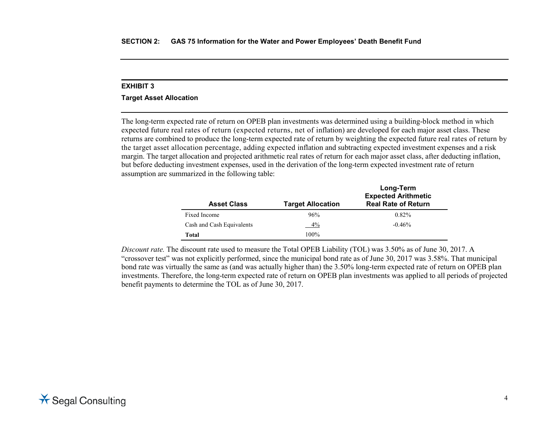#### **Target Asset Allocation**

The long-term expected rate of return on OPEB plan investments was determined using a building-block method in which expected future real rates of return (expected returns, net of inflation) are developed for each major asset class. These returns are combined to produce the long-term expected rate of return by weighting the expected future real rates of return by the target asset allocation percentage, adding expected inflation and subtracting expected investment expenses and a risk margin. The target allocation and projected arithmetic real rates of return for each major asset class, after deducting inflation, but before deducting investment expenses, used in the derivation of the long-term expected investment rate of return assumption are summarized in the following table:

| <b>Asset Class</b>        | <b>Target Allocation</b> | Long-Term<br><b>Expected Arithmetic</b><br><b>Real Rate of Return</b> |
|---------------------------|--------------------------|-----------------------------------------------------------------------|
| Fixed Income              | 96%                      | $0.82\%$                                                              |
| Cash and Cash Equivalents | 4%                       | $-0.46%$                                                              |
| Total                     | 100%                     |                                                                       |

*Discount rate.* The discount rate used to measure the Total OPEB Liability (TOL) was 3.50% as of June 30, 2017. A "crossover test" was not explicitly performed, since the municipal bond rate as of June 30, 2017 was 3.58%. That municipal bond rate was virtually the same as (and was actually higher than) the 3.50% long-term expected rate of return on OPEB plan investments. Therefore, the long-term expected rate of return on OPEB plan investments was applied to all periods of projected benefit payments to determine the TOL as of June 30, 2017.

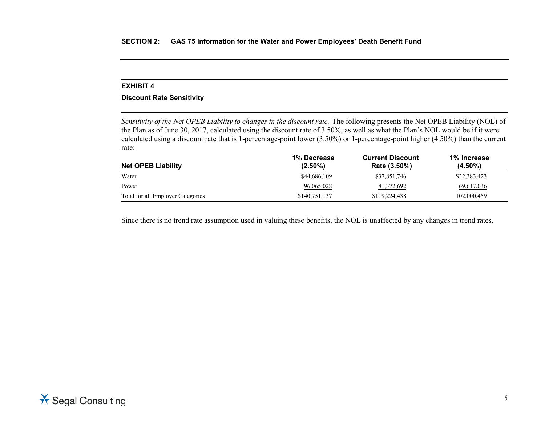# **Discount Rate Sensitivity**

*Sensitivity of the Net OPEB Liability to changes in the discount rate.* The following presents the Net OPEB Liability (NOL) of the Plan as of June 30, 2017, calculated using the discount rate of 3.50%, as well as what the Plan's NOL would be if it were calculated using a discount rate that is 1-percentage-point lower (3.50%) or 1-percentage-point higher (4.50%) than the current rate:

| <b>Net OPEB Liability</b>         | 1% Decrease<br>$(2.50\%)$ | <b>Current Discount</b><br>Rate (3.50%) | 1% Increase<br>$(4.50\%)$ |
|-----------------------------------|---------------------------|-----------------------------------------|---------------------------|
| Water                             | \$44,686,109              | \$37,851,746                            | \$32,383,423              |
| Power                             | 96,065,028                | 81,372,692                              | 69,617,036                |
| Total for all Employer Categories | \$140,751,137             | \$119,224,438                           | 102,000,459               |

Since there is no trend rate assumption used in valuing these benefits, the NOL is unaffected by any changes in trend rates.

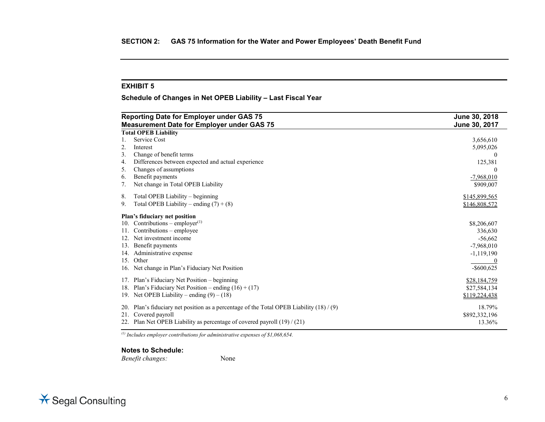**Schedule of Changes in Net OPEB Liability – Last Fiscal Year**

| Reporting Date for Employer under GAS 75<br><b>Measurement Date for Employer under GAS 75</b> |                                                                                        | June 30, 2018<br>June 30, 2017 |
|-----------------------------------------------------------------------------------------------|----------------------------------------------------------------------------------------|--------------------------------|
|                                                                                               | <b>Total OPEB Liability</b>                                                            |                                |
|                                                                                               | Service Cost                                                                           | 3,656,610                      |
| 2.                                                                                            | Interest                                                                               | 5,095,026                      |
| 3.                                                                                            | Change of benefit terms                                                                | 0                              |
| 4.                                                                                            | Differences between expected and actual experience                                     | 125,381                        |
| 5.                                                                                            | Changes of assumptions                                                                 | $\Omega$                       |
| 6.                                                                                            | Benefit payments                                                                       | $-7,968,010$                   |
| 7.                                                                                            | Net change in Total OPEB Liability                                                     | \$909,007                      |
| 8.                                                                                            | Total OPEB Liability – beginning                                                       | \$145,899,565                  |
| 9.                                                                                            | Total OPEB Liability – ending $(7) + (8)$                                              | \$146,808,572                  |
|                                                                                               | Plan's fiduciary net position                                                          |                                |
| 10.                                                                                           | Contributions – employer $(1)$                                                         | \$8,206,607                    |
|                                                                                               | Contributions – employee                                                               | 336,630                        |
| 12.                                                                                           | Net investment income                                                                  | $-56,662$                      |
| 13.                                                                                           | Benefit payments                                                                       | $-7,968,010$                   |
| 14.                                                                                           | Administrative expense                                                                 | $-1,119,190$                   |
| 15.                                                                                           | Other                                                                                  |                                |
| 16.                                                                                           | Net change in Plan's Fiduciary Net Position                                            | $-$ \$600,625                  |
| 17.                                                                                           | Plan's Fiduciary Net Position - beginning                                              | \$28,184,759                   |
| 18.                                                                                           | Plan's Fiduciary Net Position – ending $(16) + (17)$                                   | \$27,584,134                   |
|                                                                                               | 19. Net OPEB Liability – ending $(9) - (18)$                                           | \$119,224,438                  |
| <b>20.</b>                                                                                    | Plan's fiduciary net position as a percentage of the Total OPEB Liability $(18) / (9)$ | 18.79%                         |
| 21.                                                                                           | Covered payroll                                                                        | \$892,332,196                  |
|                                                                                               | Plan Net OPEB Liability as percentage of covered payroll $(19) / (21)$                 | 13.36%                         |

*(1) Includes employer contributions for administrative expenses of \$1,068,654.*

#### **Notes to Schedule:**

*Benefit changes:* None

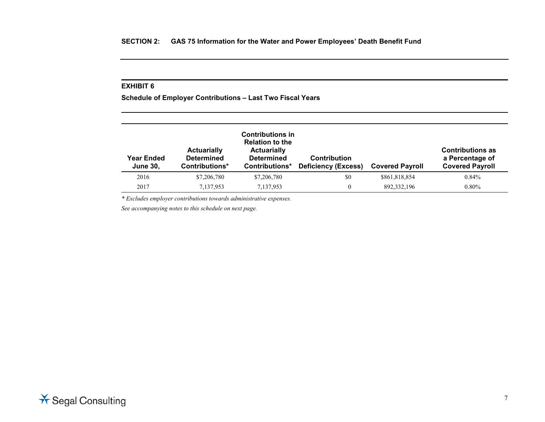**Schedule of Employer Contributions – Last Two Fiscal Years**

| <b>Year Ended</b><br><b>June 30,</b> | <b>Actuarially</b><br><b>Determined</b><br>Contributions* | <b>Contributions in</b><br><b>Relation to the</b><br><b>Actuarially</b><br><b>Determined</b><br>Contributions* | <b>Contribution</b><br><b>Deficiency (Excess)</b> | <b>Covered Payroll</b> | <b>Contributions as</b><br>a Percentage of<br><b>Covered Payroll</b> |
|--------------------------------------|-----------------------------------------------------------|----------------------------------------------------------------------------------------------------------------|---------------------------------------------------|------------------------|----------------------------------------------------------------------|
| 2016                                 | \$7,206,780                                               | \$7,206,780                                                                                                    | \$0                                               | \$861,818,854          | 0.84%                                                                |
| 2017                                 | 7.137.953                                                 | 7,137,953                                                                                                      |                                                   | 892, 332, 196          | $0.80\%$                                                             |

*\* Excludes employer contributions towards administrative expenses.*

*See accompanying notes to this schedule on next page.*

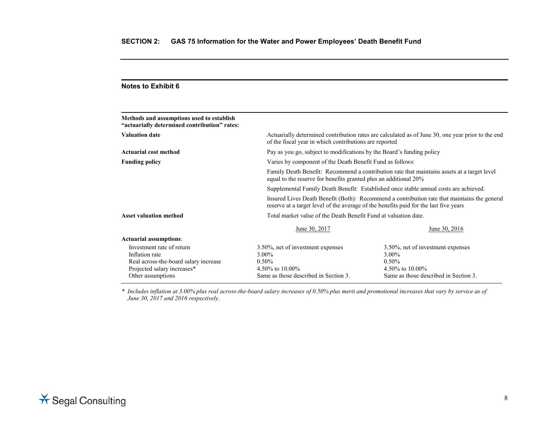| of the fiscal year in which contributions are reported                                                                                                                                | Actuarially determined contribution rates are calculated as of June 30, one year prior to the end               |  |
|---------------------------------------------------------------------------------------------------------------------------------------------------------------------------------------|-----------------------------------------------------------------------------------------------------------------|--|
| Pay as you go, subject to modifications by the Board's funding policy                                                                                                                 |                                                                                                                 |  |
| Varies by component of the Death Benefit Fund as follows:                                                                                                                             |                                                                                                                 |  |
| Family Death Benefit: Recommend a contribution rate that maintains assets at a target level<br>equal to the reserve for benefits granted plus an additional 20%                       |                                                                                                                 |  |
| Supplemental Family Death Benefit: Established once stable annual costs are achieved.                                                                                                 |                                                                                                                 |  |
| Insured Lives Death Benefit (Both): Recommend a contribution rate that maintains the general<br>reserve at a target level of the average of the benefits paid for the last five years |                                                                                                                 |  |
| Total market value of the Death Benefit Fund at valuation date.                                                                                                                       |                                                                                                                 |  |
| June 30, 2017                                                                                                                                                                         | June 30, 2016                                                                                                   |  |
|                                                                                                                                                                                       |                                                                                                                 |  |
| 3.50%, net of investment expenses<br>$3.00\%$<br>$0.50\%$<br>4.50% to 10.00%<br>Same as those described in Section 3.                                                                 | 3.50%, net of investment expenses<br>3.00%<br>0.50%<br>4.50% to 10.00%<br>Same as those described in Section 3. |  |
|                                                                                                                                                                                       |                                                                                                                 |  |

*\* Includes inflation at 3.00% plus real across-the-board salary increases of 0.50% plus merit and promotional increases that vary by service as of June 30, 2017 and 2016 respectively.*

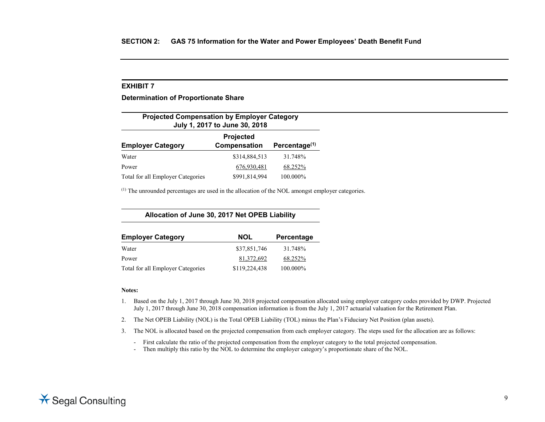**Determination of Proportionate Share**

| <b>Projected Compensation by Employer Category</b><br>July 1, 2017 to June 30, 2018 |               |          |  |
|-------------------------------------------------------------------------------------|---------------|----------|--|
| Projected<br>Percentage <sup>(1)</sup><br>Compensation<br><b>Employer Category</b>  |               |          |  |
| Water                                                                               | \$314,884,513 | 31.748%  |  |
| Power                                                                               | 676,930,481   | 68.252%  |  |
| Total for all Employer Categories                                                   | \$991,814,994 | 100.000% |  |

 $<sup>(1)</sup>$  The unrounded percentages are used in the allocation of the NOL amongst employer categories.</sup>

**Allocation of June 30, 2017 Net OPEB Liability**

| <b>Employer Category</b>          | <b>NOL</b>    | Percentage |
|-----------------------------------|---------------|------------|
| Water                             | \$37,851,746  | 31.748%    |
| Power                             | 81,372,692    | 68.252%    |
| Total for all Employer Categories | \$119,224,438 | 100.000%   |

#### **Notes:**

- 1. Based on the July 1, 2017 through June 30, 2018 projected compensation allocated using employer category codes provided by DWP. Projected July 1, 2017 through June 30, 2018 compensation information is from the July 1, 2017 actuarial valuation for the Retirement Plan.
- 2. The Net OPEB Liability (NOL) is the Total OPEB Liability (TOL) minus the Plan's Fiduciary Net Position (plan assets).
- 3. The NOL is allocated based on the projected compensation from each employer category. The steps used for the allocation are as follows:
	- First calculate the ratio of the projected compensation from the employer category to the total projected compensation.
	- Then multiply this ratio by the NOL to determine the employer category's proportionate share of the NOL.

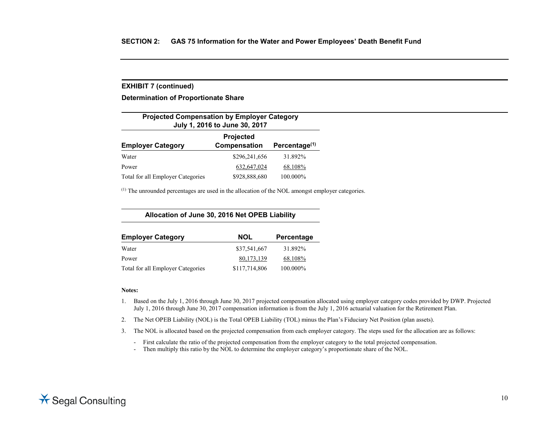#### **EXHIBIT 7 (continued)**

**Determination of Proportionate Share**

| <b>Projected Compensation by Employer Category</b><br>July 1, 2016 to June 30, 2017 |                           |                           |  |
|-------------------------------------------------------------------------------------|---------------------------|---------------------------|--|
| <b>Employer Category</b>                                                            | Projected<br>Compensation | Percentage <sup>(1)</sup> |  |
| Water                                                                               | \$296,241,656             | 31.892%                   |  |
| Power                                                                               | 632,647,024               | 68.108%                   |  |
| Total for all Employer Categories                                                   | \$928,888,680             | 100.000%                  |  |

 $<sup>(1)</sup>$  The unrounded percentages are used in the allocation of the NOL amongst employer categories.</sup>

**Allocation of June 30, 2016 Net OPEB Liability**

| <b>Employer Category</b>          | <b>NOL</b>    | Percentage |
|-----------------------------------|---------------|------------|
| Water                             | \$37,541,667  | 31.892%    |
| Power                             | 80,173,139    | 68.108%    |
| Total for all Employer Categories | \$117,714,806 | 100.000%   |

#### **Notes:**

- 1. Based on the July 1, 2016 through June 30, 2017 projected compensation allocated using employer category codes provided by DWP. Projected July 1, 2016 through June 30, 2017 compensation information is from the July 1, 2016 actuarial valuation for the Retirement Plan.
- 2. The Net OPEB Liability (NOL) is the Total OPEB Liability (TOL) minus the Plan's Fiduciary Net Position (plan assets).
- 3. The NOL is allocated based on the projected compensation from each employer category. The steps used for the allocation are as follows:
	- First calculate the ratio of the projected compensation from the employer category to the total projected compensation.
	- Then multiply this ratio by the NOL to determine the employer category's proportionate share of the NOL.

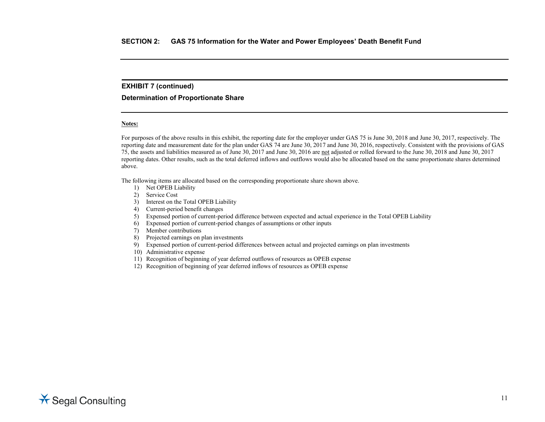#### **EXHIBIT 7 (continued)**

**Determination of Proportionate Share**

#### **Notes:**

For purposes of the above results in this exhibit, the reporting date for the employer under GAS 75 is June 30, 2018 and June 30, 2017, respectively. The reporting date and measurement date for the plan under GAS 74 are June 30, 2017 and June 30, 2016, respectively. Consistent with the provisions of GAS 75, the assets and liabilities measured as of June 30, 2017 and June 30, 2016 are not adjusted or rolled forward to the June 30, 2018 and June 30, 2017 reporting dates. Other results, such as the total deferred inflows and outflows would also be allocated based on the same proportionate shares determined above.

The following items are allocated based on the corresponding proportionate share shown above.

- 1) Net OPEB Liability
- 2) Service Cost
- 3) Interest on the Total OPEB Liability
- 4) Current-period benefit changes
- 5) Expensed portion of current-period difference between expected and actual experience in the Total OPEB Liability
- 6) Expensed portion of current-period changes of assumptions or other inputs
- 7) Member contributions
- 8) Projected earnings on plan investments
- 9) Expensed portion of current-period differences between actual and projected earnings on plan investments
- 10) Administrative expense
- 11) Recognition of beginning of year deferred outflows of resources as OPEB expense
- 12) Recognition of beginning of year deferred inflows of resources as OPEB expense

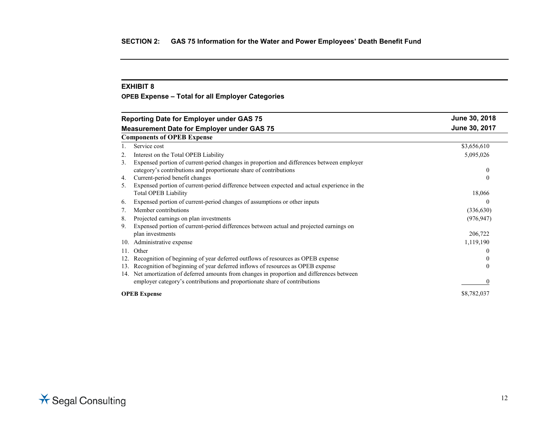**OPEB Expense – Total for all Employer Categories**

|     | <b>Reporting Date for Employer under GAS 75</b>                                             | June 30, 2018    |
|-----|---------------------------------------------------------------------------------------------|------------------|
|     | <b>Measurement Date for Employer under GAS 75</b>                                           | June 30, 2017    |
|     | <b>Components of OPEB Expense</b>                                                           |                  |
|     | Service cost                                                                                | \$3,656,610      |
| 2.  | Interest on the Total OPEB Liability                                                        | 5,095,026        |
| 3.  | Expensed portion of current-period changes in proportion and differences between employer   |                  |
|     | category's contributions and proportionate share of contributions                           | $\bf{0}$         |
| 4.  | Current-period benefit changes                                                              | $\mathbf{0}$     |
| 5.  | Expensed portion of current-period difference between expected and actual experience in the |                  |
|     | <b>Total OPEB Liability</b>                                                                 | 18,066           |
| 6.  | Expensed portion of current-period changes of assumptions or other inputs                   | $\theta$         |
| 7.  | Member contributions                                                                        | (336, 630)       |
| 8.  | Projected earnings on plan investments                                                      | (976, 947)       |
| 9.  | Expensed portion of current-period differences between actual and projected earnings on     |                  |
|     | plan investments                                                                            | 206,722          |
| 10. | Administrative expense                                                                      | 1,119,190        |
| 11. | Other                                                                                       | $\theta$         |
| 12. | Recognition of beginning of year deferred outflows of resources as OPEB expense             | $\boldsymbol{0}$ |
| 13. | Recognition of beginning of year deferred inflows of resources as OPEB expense              | $\Omega$         |
|     | 14. Net amortization of deferred amounts from changes in proportion and differences between |                  |
|     | employer category's contributions and proportionate share of contributions                  | $\Omega$         |
|     | <b>OPEB</b> Expense                                                                         | \$8,782,037      |

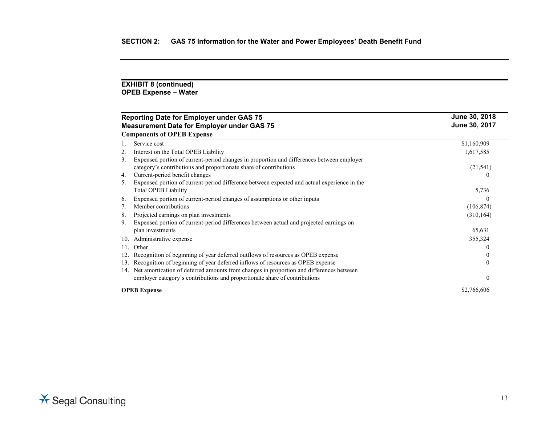#### **EXHIBIT 8 (continued) OPEB Expense – Water**

| <b>Reporting Date for Employer under GAS 75</b>                                                   | June 30, 2018 |
|---------------------------------------------------------------------------------------------------|---------------|
| <b>Measurement Date for Employer under GAS 75</b>                                                 | June 30, 2017 |
| <b>Components of OPEB Expense</b>                                                                 |               |
| Service cost                                                                                      | \$1,160,909   |
| Interest on the Total OPEB Liability                                                              | 1,617,585     |
| Expensed portion of current-period changes in proportion and differences between employer<br>3.   |               |
| category's contributions and proportionate share of contributions                                 | (21, 541)     |
| Current-period benefit changes<br>4.                                                              |               |
| Expensed portion of current-period difference between expected and actual experience in the<br>5. |               |
| <b>Total OPEB Liability</b>                                                                       | 5,736         |
| Expensed portion of current-period changes of assumptions or other inputs<br>6.                   |               |
| Member contributions<br>7.                                                                        | (106, 874)    |
| Projected earnings on plan investments<br>8.                                                      | (310, 164)    |
| Expensed portion of current-period differences between actual and projected earnings on<br>9.     |               |
| plan investments                                                                                  | 65,631        |
| Administrative expense<br>10.                                                                     | 355,324       |
| Other<br>11.                                                                                      |               |
| Recognition of beginning of year deferred outflows of resources as OPEB expense<br>12.            |               |
| Recognition of beginning of year deferred inflows of resources as OPEB expense<br>13.             | $\theta$      |
| Net amortization of deferred amounts from changes in proportion and differences between<br>14.    |               |
| employer category's contributions and proportionate share of contributions                        |               |
| <b>OPEB</b> Expense                                                                               | \$2,766,606   |

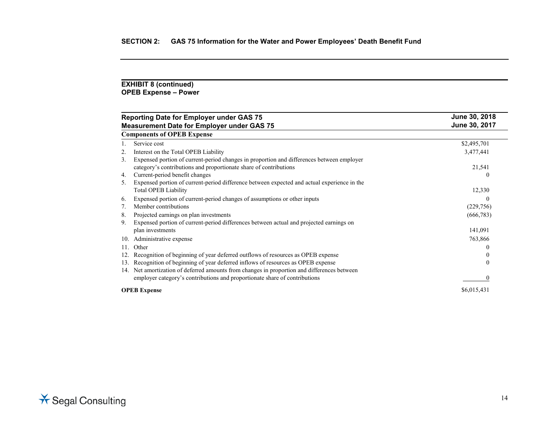#### **EXHIBIT 8 (continued) OPEB Expense – Power**

|     | <b>Reporting Date for Employer under GAS 75</b>                                             | June 30, 2018 |
|-----|---------------------------------------------------------------------------------------------|---------------|
|     | <b>Measurement Date for Employer under GAS 75</b>                                           | June 30, 2017 |
|     | <b>Components of OPEB Expense</b>                                                           |               |
|     | Service cost                                                                                | \$2,495,701   |
| 2.  | Interest on the Total OPEB Liability                                                        | 3,477,441     |
| 3.  | Expensed portion of current-period changes in proportion and differences between employer   |               |
|     | category's contributions and proportionate share of contributions                           | 21,541        |
| 4.  | Current-period benefit changes                                                              | $\theta$      |
| 5.  | Expensed portion of current-period difference between expected and actual experience in the |               |
|     | <b>Total OPEB Liability</b>                                                                 | 12,330        |
| 6.  | Expensed portion of current-period changes of assumptions or other inputs                   | $\Omega$      |
| 7.  | Member contributions                                                                        | (229, 756)    |
| 8.  | Projected earnings on plan investments                                                      | (666, 783)    |
| 9.  | Expensed portion of current-period differences between actual and projected earnings on     |               |
|     | plan investments                                                                            | 141,091       |
| 10. | Administrative expense                                                                      | 763,866       |
| 11. | Other                                                                                       | $\theta$      |
| 12. | Recognition of beginning of year deferred outflows of resources as OPEB expense             | $\theta$      |
| 13. | Recognition of beginning of year deferred inflows of resources as OPEB expense              | $\theta$      |
| 14. | Net amortization of deferred amounts from changes in proportion and differences between     |               |
|     | employer category's contributions and proportionate share of contributions                  |               |
|     | <b>OPEB</b> Expense                                                                         | \$6,015,431   |

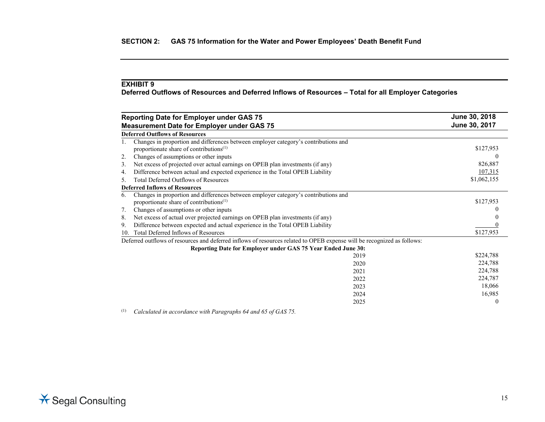**Deferred Outflows of Resources and Deferred Inflows of Resources – Total for all Employer Categories**

|     | <b>Reporting Date for Employer under GAS 75</b>                                                                                            | June 30, 2018 |
|-----|--------------------------------------------------------------------------------------------------------------------------------------------|---------------|
|     | <b>Measurement Date for Employer under GAS 75</b>                                                                                          | June 30, 2017 |
|     | <b>Deferred Outflows of Resources</b>                                                                                                      |               |
|     | Changes in proportion and differences between employer category's contributions and<br>proportionate share of contributions <sup>(1)</sup> | \$127,953     |
| 2.  | Changes of assumptions or other inputs                                                                                                     |               |
| 3.  | Net excess of projected over actual earnings on OPEB plan investments (if any)                                                             | 826,887       |
| 4.  | Difference between actual and expected experience in the Total OPEB Liability                                                              | 107,315       |
| 5.  | <b>Total Deferred Outflows of Resources</b>                                                                                                | \$1,062,155   |
|     | <b>Deferred Inflows of Resources</b>                                                                                                       |               |
| 6.  | Changes in proportion and differences between employer category's contributions and<br>proportionate share of contributions <sup>(1)</sup> | \$127,953     |
| 7.  | Changes of assumptions or other inputs                                                                                                     |               |
| 8.  | Net excess of actual over projected earnings on OPEB plan investments (if any)                                                             |               |
| 9.  | Difference between expected and actual experience in the Total OPEB Liability                                                              |               |
| 10. | Total Deferred Inflows of Resources                                                                                                        | \$127,953     |
|     | Deferred outflows of resources and deferred inflows of resources related to OPEB expense will be recognized as follows:                    |               |
|     | Reporting Date for Employer under GAS 75 Year Ended June 30:                                                                               |               |
|     | 2019                                                                                                                                       | \$224,788     |
|     | 2020                                                                                                                                       | 224,788       |
|     | 2021                                                                                                                                       | 224,788       |
|     | 2022                                                                                                                                       | 224,787       |
|     | 2023                                                                                                                                       | 18,066        |
|     | 2024                                                                                                                                       | 16,985        |
|     | 2025                                                                                                                                       | $\left($      |

(1) *Calculated in accordance with Paragraphs 64 and 65 of GAS 75.*

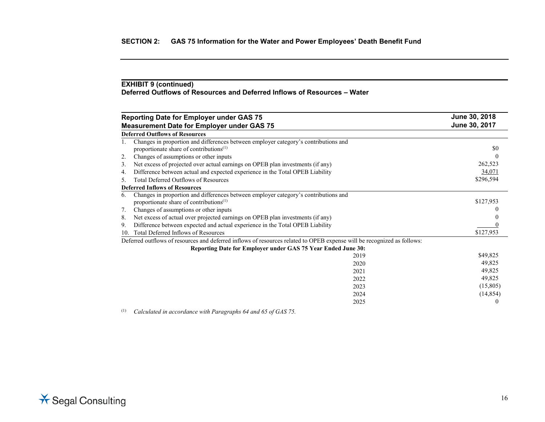# **EXHIBIT 9 (continued) Deferred Outflows of Resources and Deferred Inflows of Resources – Water**

|     | <b>Reporting Date for Employer under GAS 75</b>                                                                                            | June 30, 2018 |
|-----|--------------------------------------------------------------------------------------------------------------------------------------------|---------------|
|     | <b>Measurement Date for Employer under GAS 75</b>                                                                                          | June 30, 2017 |
|     | <b>Deferred Outflows of Resources</b>                                                                                                      |               |
|     | Changes in proportion and differences between employer category's contributions and<br>proportionate share of contributions <sup>(1)</sup> | \$0           |
| 2.  | Changes of assumptions or other inputs                                                                                                     |               |
| 3.  | Net excess of projected over actual earnings on OPEB plan investments (if any)                                                             | 262,523       |
| 4.  | Difference between actual and expected experience in the Total OPEB Liability                                                              | 34,071        |
| 5.  | <b>Total Deferred Outflows of Resources</b>                                                                                                | \$296,594     |
|     | <b>Deferred Inflows of Resources</b>                                                                                                       |               |
| 6.  | Changes in proportion and differences between employer category's contributions and<br>proportionate share of contributions <sup>(1)</sup> | \$127,953     |
| 7.  | Changes of assumptions or other inputs                                                                                                     |               |
| 8.  | Net excess of actual over projected earnings on OPEB plan investments (if any)                                                             |               |
| 9.  | Difference between expected and actual experience in the Total OPEB Liability                                                              |               |
| 10. | Total Deferred Inflows of Resources                                                                                                        | \$127,953     |
|     | Deferred outflows of resources and deferred inflows of resources related to OPEB expense will be recognized as follows:                    |               |
|     | Reporting Date for Employer under GAS 75 Year Ended June 30:                                                                               |               |
|     | 2019                                                                                                                                       | \$49,825      |
|     | 2020                                                                                                                                       | 49,825        |
|     | 2021                                                                                                                                       | 49,825        |
|     | 2022                                                                                                                                       | 49,825        |
|     | 2023                                                                                                                                       | (15,805)      |
|     | 2024                                                                                                                                       | (14, 854)     |
|     | 2025                                                                                                                                       | $\theta$      |
|     |                                                                                                                                            |               |

(1) *Calculated in accordance with Paragraphs 64 and 65 of GAS 75.*

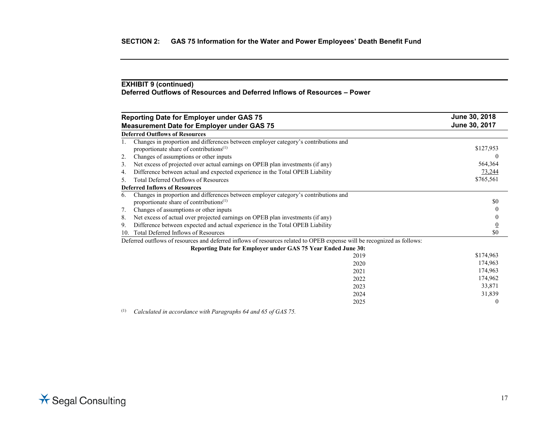# **EXHIBIT 9 (continued) Deferred Outflows of Resources and Deferred Inflows of Resources – Power**

|     | <b>Reporting Date for Employer under GAS 75</b>                                                                                   | June 30, 2018 |
|-----|-----------------------------------------------------------------------------------------------------------------------------------|---------------|
|     | <b>Measurement Date for Employer under GAS 75</b>                                                                                 | June 30, 2017 |
|     | <b>Deferred Outflows of Resources</b>                                                                                             |               |
|     | Changes in proportion and differences between employer category's contributions and<br>proportionate share of contributions $(1)$ | \$127,953     |
| 2.  | Changes of assumptions or other inputs                                                                                            |               |
| 3.  | Net excess of projected over actual earnings on OPEB plan investments (if any)                                                    | 564,364       |
| 4.  | Difference between actual and expected experience in the Total OPEB Liability                                                     | 73,244        |
| 5.  | <b>Total Deferred Outflows of Resources</b>                                                                                       | \$765,561     |
|     | <b>Deferred Inflows of Resources</b>                                                                                              |               |
| 6.  | Changes in proportion and differences between employer category's contributions and<br>proportionate share of contributions $(1)$ | \$0           |
| 7.  | Changes of assumptions or other inputs                                                                                            |               |
| 8.  | Net excess of actual over projected earnings on OPEB plan investments (if any)                                                    |               |
| 9.  | Difference between expected and actual experience in the Total OPEB Liability                                                     |               |
| 10. | Total Deferred Inflows of Resources                                                                                               | \$0           |
|     | Deferred outflows of resources and deferred inflows of resources related to OPEB expense will be recognized as follows:           |               |
|     | Reporting Date for Employer under GAS 75 Year Ended June 30:                                                                      |               |
|     | 2019                                                                                                                              | \$174,963     |
|     | 2020                                                                                                                              | 174,963       |
|     | 2021                                                                                                                              | 174,963       |
|     | 2022                                                                                                                              | 174,962       |
|     | 2023                                                                                                                              | 33,871        |
|     | 2024                                                                                                                              | 31,839        |
|     | 2025                                                                                                                              | $\theta$      |
|     |                                                                                                                                   |               |

(1) *Calculated in accordance with Paragraphs 64 and 65 of GAS 75.*

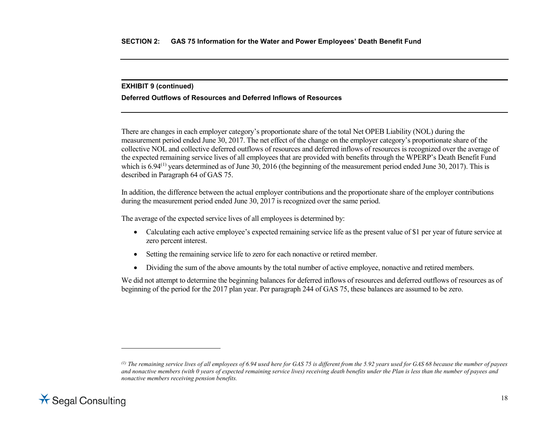#### <span id="page-25-0"></span>**EXHIBIT 9 (continued)**

### **Deferred Outflows of Resources and Deferred Inflows of Resources**

There are changes in each employer category's proportionate share of the total Net OPEB Liability (NOL) during the measurement period ended June 30, 2017. The net effect of the change on the employer category's proportionate share of the collective NOL and collective deferred outflows of resources and deferred inflows of resources is recognized over the average of the expected remaining service lives of all employees that are provided with benefits through the WPERP's Death Benefit Fund which is 6.94<sup>([1\)](#page-25-0)</sup> years determined as of June 30, 2016 (the beginning of the measurement period ended June 30, 2017). This is described in Paragraph 64 of GAS 75.

In addition, the difference between the actual employer contributions and the proportionate share of the employer contributions during the measurement period ended June 30, 2017 is recognized over the same period.

The average of the expected service lives of all employees is determined by:

- Calculating each active employee's expected remaining service life as the present value of \$1 per year of future service at zero percent interest.
- Setting the remaining service life to zero for each nonactive or retired member.
- Dividing the sum of the above amounts by the total number of active employee, nonactive and retired members.

We did not attempt to determine the beginning balances for deferred inflows of resources and deferred outflows of resources as of beginning of the period for the 2017 plan year. Per paragraph 244 of GAS 75, these balances are assumed to be zero.

*<sup>(1)</sup> The remaining service lives of all employees of 6.94 used here for GAS 75 is different from the 5.92 years used for GAS 68 because the number of payees and nonactive members (with 0 years of expected remaining service lives) receiving death benefits under the Plan is less than the number of payees and nonactive members receiving pension benefits.*



 $\overline{a}$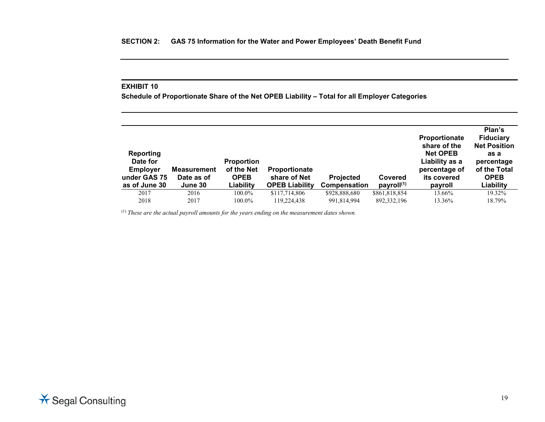**Schedule of Proportionate Share of the Net OPEB Liability – Total for all Employer Categories**

| <b>Reporting</b><br>Date for<br><b>Employer</b><br>under GAS 75<br>as of June 30 | <b>Measurement</b><br>Date as of<br>June 30 | <b>Proportion</b><br>of the Net<br><b>OPEB</b><br>Liability | <b>Proportionate</b><br>share of Net<br><b>OPEB Liability</b> | <b>Projected</b><br>Compensation | Covered<br>payroll <sup>(1)</sup> | <b>Proportionate</b><br>share of the<br><b>Net OPEB</b><br>Liability as a<br>percentage of<br>its covered<br>payroll | Plan's<br><b>Fiduciary</b><br><b>Net Position</b><br>as a<br>percentage<br>of the Total<br><b>OPEB</b><br>Liability |
|----------------------------------------------------------------------------------|---------------------------------------------|-------------------------------------------------------------|---------------------------------------------------------------|----------------------------------|-----------------------------------|----------------------------------------------------------------------------------------------------------------------|---------------------------------------------------------------------------------------------------------------------|
| 2017                                                                             | 2016                                        | 100.0%                                                      | \$117,714,806                                                 | \$928,888,680                    | \$861,818,854                     | 13.66%                                                                                                               | 19.32%                                                                                                              |
| 2018                                                                             | 2017                                        | 100.0%                                                      | 119.224.438                                                   | 991.814.994                      | 892, 332, 196                     | 13.36%                                                                                                               | 18.79%                                                                                                              |

<sup>(1)</sup> These are the actual payroll amounts for the years ending on the measurement dates shown.

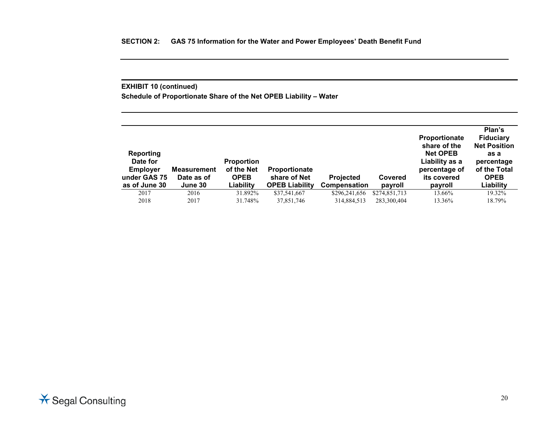# **EXHIBIT 10 (continued)**

**Schedule of Proportionate Share of the Net OPEB Liability – Water**

| <b>Reporting</b><br>Date for<br><b>Employer</b><br>under GAS 75<br>as of June 30 | <b>Measurement</b><br>Date as of<br>June 30 | <b>Proportion</b><br>of the Net<br><b>OPEB</b><br>Liability | <b>Proportionate</b><br>share of Net<br><b>OPEB Liability</b> | <b>Projected</b><br><b>Compensation</b> | Covered<br>payroll | <b>Proportionate</b><br>share of the<br><b>Net OPEB</b><br>Liability as a<br>percentage of<br>its covered<br>payroll | Plan's<br><b>Fiduciary</b><br><b>Net Position</b><br>as a<br>percentage<br>of the Total<br><b>OPEB</b><br>Liability |
|----------------------------------------------------------------------------------|---------------------------------------------|-------------------------------------------------------------|---------------------------------------------------------------|-----------------------------------------|--------------------|----------------------------------------------------------------------------------------------------------------------|---------------------------------------------------------------------------------------------------------------------|
| 2017                                                                             | 2016                                        | 31.892%                                                     | \$37,541,667                                                  | \$296,241,656                           | \$274,851,713      | 13.66%                                                                                                               | 19.32%                                                                                                              |
| 2018                                                                             | 2017                                        | 31.748%                                                     | 37,851,746                                                    | 314,884,513                             | 283,300,404        | 13.36%                                                                                                               | 18.79%                                                                                                              |

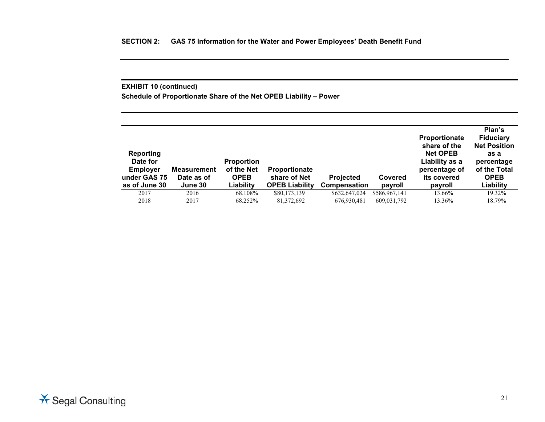# **EXHIBIT 10 (continued)**

**Schedule of Proportionate Share of the Net OPEB Liability – Power**

| <b>Reporting</b><br>Date for<br><b>Employer</b><br>under GAS 75<br>as of June 30 | <b>Measurement</b><br>Date as of<br>June 30 | <b>Proportion</b><br>of the Net<br><b>OPEB</b><br>Liability | <b>Proportionate</b><br>share of Net<br><b>OPEB Liability</b> | <b>Projected</b><br><b>Compensation</b> | Covered<br>payroll | <b>Proportionate</b><br>share of the<br><b>Net OPEB</b><br>Liability as a<br>percentage of<br>its covered<br>payroll | Plan's<br><b>Fiduciary</b><br><b>Net Position</b><br>as a<br>percentage<br>of the Total<br><b>OPEB</b><br>Liability |
|----------------------------------------------------------------------------------|---------------------------------------------|-------------------------------------------------------------|---------------------------------------------------------------|-----------------------------------------|--------------------|----------------------------------------------------------------------------------------------------------------------|---------------------------------------------------------------------------------------------------------------------|
| 2017                                                                             | 2016                                        | 68.108%                                                     | \$80,173,139                                                  | \$632,647,024                           | \$586,967,141      | 13.66%                                                                                                               | 19.32%                                                                                                              |
| 2018                                                                             | 2017                                        | 68.252%                                                     | 81,372,692                                                    | 676,930,481                             | 609,031,792        | 13.36%                                                                                                               | 18.79%                                                                                                              |

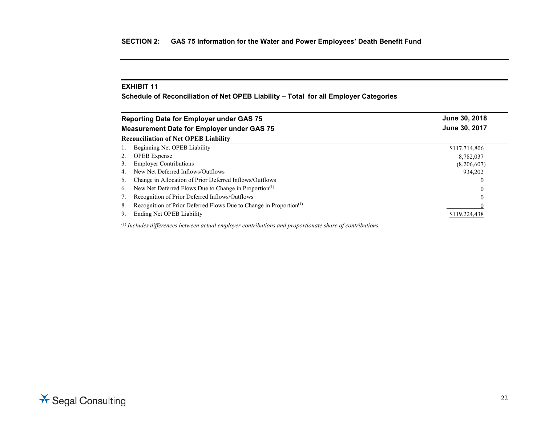**Schedule of Reconciliation of Net OPEB Liability – Total for all Employer Categories**

|               | <b>Reporting Date for Employer under GAS 75</b>                                                            | June 30, 2018 |  |  |  |  |  |
|---------------|------------------------------------------------------------------------------------------------------------|---------------|--|--|--|--|--|
|               | <b>Measurement Date for Employer under GAS 75</b>                                                          | June 30, 2017 |  |  |  |  |  |
|               | <b>Reconciliation of Net OPEB Liability</b>                                                                |               |  |  |  |  |  |
|               | Beginning Net OPEB Liability                                                                               | \$117,714,806 |  |  |  |  |  |
| 2.            | <b>OPEB</b> Expense                                                                                        | 8,782,037     |  |  |  |  |  |
| 3.            | <b>Employer Contributions</b>                                                                              | (8,206,607)   |  |  |  |  |  |
| 4.            | New Net Deferred Inflows/Outflows                                                                          | 934.202       |  |  |  |  |  |
| $\mathcal{L}$ | Change in Allocation of Prior Deferred Inflows/Outflows                                                    |               |  |  |  |  |  |
| 6.            | New Net Deferred Flows Due to Change in Proportion <sup>(1)</sup>                                          |               |  |  |  |  |  |
|               | Recognition of Prior Deferred Inflows/Outflows                                                             |               |  |  |  |  |  |
| 8.            | Recognition of Prior Deferred Flows Due to Change in Proportion <sup>(1)</sup>                             |               |  |  |  |  |  |
| 9.            | Ending Net OPEB Liability                                                                                  | \$119,224,438 |  |  |  |  |  |
|               | $(1)$ Includes differences between actual employer contributions and proportionate share of contributions. |               |  |  |  |  |  |

**★ Segal Consulting**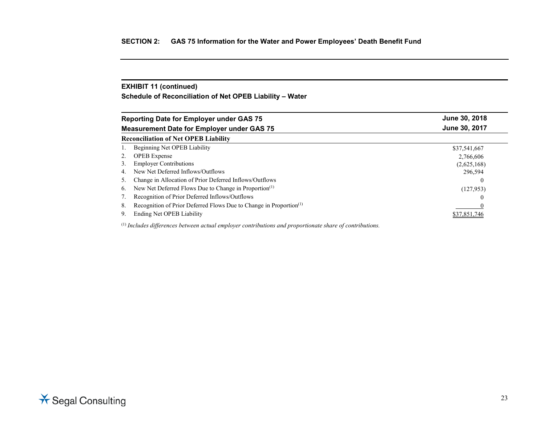# **EXHIBIT 11 (continued)**

**Schedule of Reconciliation of Net OPEB Liability – Water**

| <b>Reporting Date for Employer under GAS 75</b>                                      | June 30, 2018 |
|--------------------------------------------------------------------------------------|---------------|
| <b>Measurement Date for Employer under GAS 75</b>                                    | June 30, 2017 |
| <b>Reconciliation of Net OPEB Liability</b>                                          |               |
| Beginning Net OPEB Liability                                                         | \$37,541,667  |
| <b>OPEB</b> Expense                                                                  | 2,766,606     |
| <b>Employer Contributions</b><br>3.                                                  | (2,625,168)   |
| New Net Deferred Inflows/Outflows<br>4.                                              | 296.594       |
| Change in Allocation of Prior Deferred Inflows/Outflows<br>5.                        |               |
| New Net Deferred Flows Due to Change in Proportion <sup>(1)</sup><br>6.              | (127, 953)    |
| Recognition of Prior Deferred Inflows/Outflows                                       |               |
| Recognition of Prior Deferred Flows Due to Change in Proportion <sup>(1)</sup><br>8. |               |
| Ending Net OPEB Liability<br>9.                                                      | \$37.851.746  |

(1) *Includes differences between actual employer contributions and proportionate share of contributions.*

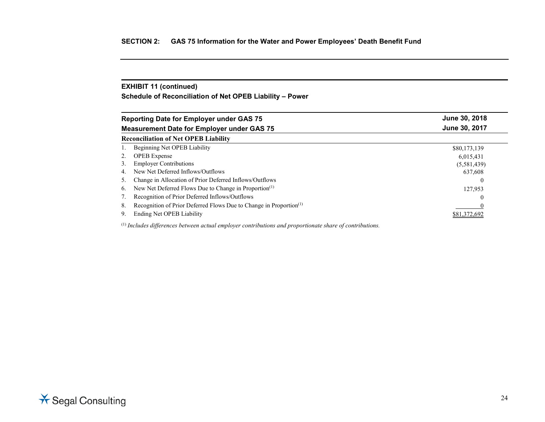# **EXHIBIT 11 (continued)**

**Schedule of Reconciliation of Net OPEB Liability – Power**

| June 30, 2018                                                                  |
|--------------------------------------------------------------------------------|
| June 30, 2017                                                                  |
|                                                                                |
| \$80,173,139                                                                   |
| 6,015,431                                                                      |
| (5,581,439)                                                                    |
| 637,608                                                                        |
|                                                                                |
| 127,953                                                                        |
|                                                                                |
| Recognition of Prior Deferred Flows Due to Change in Proportion <sup>(1)</sup> |
| \$81,372,692                                                                   |
|                                                                                |

(1) *Includes differences between actual employer contributions and proportionate share of contributions.*

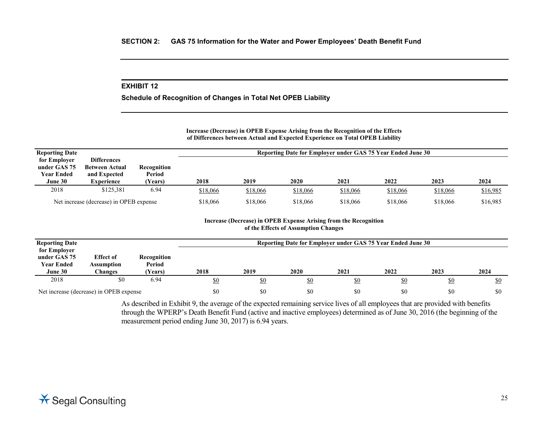**Schedule of Recognition of Changes in Total Net OPEB Liability**

**Increase (Decrease) in OPEB Expense Arising from the Recognition of the Effects of Differences between Actual and Expected Experience on Total OPEB Liability**

| <b>Reporting Date</b> |                                         |                | Reporting Date for Employer under GAS 75 Year Ended June 30 |          |          |          |          |          |          |
|-----------------------|-----------------------------------------|----------------|-------------------------------------------------------------|----------|----------|----------|----------|----------|----------|
| for Employer          | <b>Differences</b>                      |                |                                                             |          |          |          |          |          |          |
| under GAS 75          | <b>Between Actual</b>                   | Recognition    |                                                             |          |          |          |          |          |          |
| <b>Year Ended</b>     | and Expected                            | Period         |                                                             |          |          |          |          |          |          |
| June 30               | Experience                              | <b>Years</b> ) | 2018                                                        | 2019     | 2020     | 2021     | 2022     | 2023     | 2024     |
| 2018                  | \$125,381                               | 6.94           | \$18,066                                                    | \$18,066 | \$18,066 | \$18,066 | \$18,066 | \$18,066 | \$16,985 |
|                       | Net increase (decrease) in OPEB expense |                | \$18,066                                                    | \$18,066 | \$18,066 | \$18,066 | \$18,066 | \$18,066 | \$16,985 |

#### **Increase (Decrease) in OPEB Expense Arising from the Recognition of the Effects of Assumption Changes**

| <b>Reporting Date</b>                                        |                                                  |                                  |      |      |             | Reporting Date for Employer under GAS 75 Year Ended June 30 |            |            |            |
|--------------------------------------------------------------|--------------------------------------------------|----------------------------------|------|------|-------------|-------------------------------------------------------------|------------|------------|------------|
| for Employer<br>under GAS 75<br><b>Year Ended</b><br>June 30 | <b>Effect of</b><br><b>Assumption</b><br>Changes | Recognition<br>Period<br>(Years) | 2018 | 2019 | <b>2020</b> | 2021                                                        | 2022       | 2023       | 2024       |
| 2018                                                         | \$0                                              | 6.94                             | \$0  | \$0  | \$0         | \$0                                                         | <u>\$0</u> | <u>\$0</u> | <u>\$0</u> |
|                                                              | Net increase (decrease) in OPEB expense          |                                  | \$0  | \$0  | \$0         | \$0                                                         | \$0        | \$0        | \$0        |

As described in Exhibit 9, the average of the expected remaining service lives of all employees that are provided with benefits through the WPERP's Death Benefit Fund (active and inactive employees) determined as of June 30, 2016 (the beginning of the measurement period ending June 30, 2017) is 6.94 years.

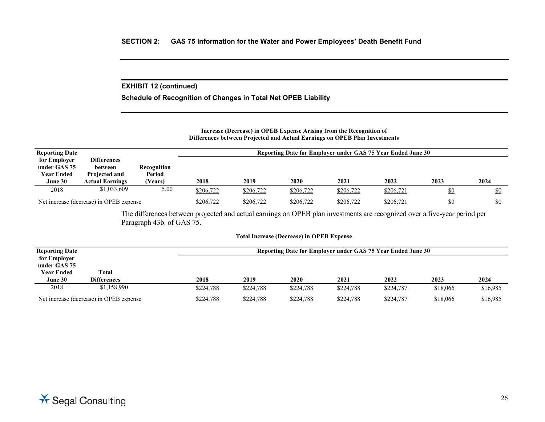### **EXHIBIT 12 (continued)**

**Schedule of Recognition of Changes in Total Net OPEB Liability**

#### **Increase (Decrease) in OPEB Expense Arising from the Recognition of Differences between Projected and Actual Earnings on OPEB Plan Investments**

| <b>Reporting Date</b>                             |                                                       |                       | Reporting Date for Employer under GAS 75 Year Ended June 30 |           |           |           |           |            |            |
|---------------------------------------------------|-------------------------------------------------------|-----------------------|-------------------------------------------------------------|-----------|-----------|-----------|-----------|------------|------------|
| for Employer<br>under GAS 75<br><b>Year Ended</b> | <b>Differences</b><br>between<br><b>Projected and</b> | Recognition<br>Period |                                                             |           |           |           |           |            |            |
| June 30                                           | <b>Actual Earnings</b>                                | Years)                | 2018                                                        | 2019      | 2020      | 2021      | 2022      | 2023       | 2024       |
| 2018                                              | \$1,033,609                                           | 5.00                  | \$206,722                                                   | \$206,722 | \$206,722 | \$206,722 | \$206,721 | <u>\$0</u> | <u>\$0</u> |
|                                                   | Net increase (decrease) in OPEB expense               |                       | \$206,722                                                   | \$206,722 | \$206,722 | \$206,722 | \$206,721 | \$0        | \$0        |

The differences between projected and actual earnings on OPEB plan investments are recognized over a five-year period per Paragraph 43b. of GAS 75.

#### **Total Increase (Decrease) in OPEB Expense**

| <b>Reporting Date</b>                   |                    |  | Reporting Date for Employer under GAS 75 Year Ended June 30 |           |             |           |           |          |          |  |
|-----------------------------------------|--------------------|--|-------------------------------------------------------------|-----------|-------------|-----------|-----------|----------|----------|--|
| for Employer<br>under GAS 75            |                    |  |                                                             |           |             |           |           |          |          |  |
| <b>Year Ended</b>                       | Total              |  |                                                             |           |             |           |           |          |          |  |
| June 30                                 | <b>Differences</b> |  | 2018                                                        | 2019      | <b>2020</b> | 2021      | 2022      | 2023     | 2024     |  |
| 2018                                    | \$1,158,990        |  | \$224,788                                                   | \$224,788 | \$224,788   | \$224,788 | \$224,787 | \$18,066 | \$16,985 |  |
| Net increase (decrease) in OPEB expense |                    |  | \$224,788                                                   | \$224,788 | \$224,788   | \$224,788 | \$224,787 | \$18,066 | \$16,985 |  |

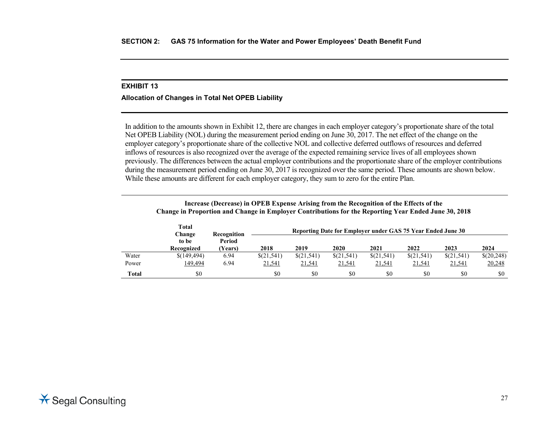# **Allocation of Changes in Total Net OPEB Liability**

In addition to the amounts shown in Exhibit 12, there are changes in each employer category's proportionate share of the total Net OPEB Liability (NOL) during the measurement period ending on June 30, 2017. The net effect of the change on the employer category's proportionate share of the collective NOL and collective deferred outflows of resources and deferred inflows of resources is also recognized over the average of the expected remaining service lives of all employees shown previously. The differences between the actual employer contributions and the proportionate share of the employer contributions during the measurement period ending on June 30, 2017 is recognized over the same period. These amounts are shown below. While these amounts are different for each employer category, they sum to zero for the entire Plan.

|              | Change in Proportion and Change in Employer Contributions for the Reporting Year Ended June 30, 2018 |                       |            |            |            |                                                             |            |            |            |
|--------------|------------------------------------------------------------------------------------------------------|-----------------------|------------|------------|------------|-------------------------------------------------------------|------------|------------|------------|
|              | <b>Total</b><br>Change<br>to be                                                                      | Recognition<br>Period |            |            |            | Reporting Date for Employer under GAS 75 Year Ended June 30 |            |            |            |
|              | Recognized                                                                                           | (Years)               | 2018       | 2019       | 2020       | 2021                                                        | 2022       | 2023       | 2024       |
| Water        | \$(149,494)                                                                                          | 6.94                  | \$(21,541) | \$(21,541) | \$(21,541) | \$(21,541)                                                  | \$(21,541) | \$(21,541) | \$(20,248) |
| Power        | 149,494                                                                                              | 6.94                  | 21,541     | 21,541     | 21,541     | 21,541                                                      | 21,541     | 21,541     | 20,248     |
| <b>Total</b> | \$0                                                                                                  |                       | \$0        | \$0        | \$0        | \$0                                                         | \$0        | \$0        | \$0        |

**Increase (Decrease) in OPEB Expense Arising from the Recognition of the Effects of the Change in Proportion and Change in Employer Contributions for the Reporting Year Ended June 30, 2018**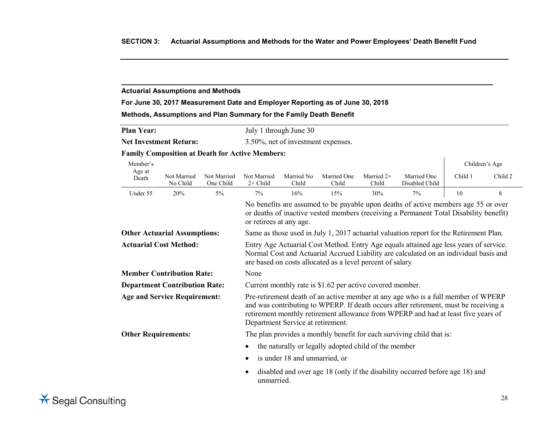### **Actuarial Assumptions and Methods**

# **For June 30, 2017 Measurement Date and Employer Reporting as of June 30, 2018**

### **Methods, Assumptions and Plan Summary for the Family Death Benefit**

| <b>Plan Year:</b>             | July 1 through June 30             |
|-------------------------------|------------------------------------|
| <b>Net Investment Return:</b> | 3.50%, net of investment expenses. |

#### **Family Composition at Death for Active Members:**

| Member's                            |                                      |                          |                                                                                                                                                                                                                                                                                                     |                                                                                        |                                                      |                     |                                                                                                                                                                             |         | Children's Age |  |  |
|-------------------------------------|--------------------------------------|--------------------------|-----------------------------------------------------------------------------------------------------------------------------------------------------------------------------------------------------------------------------------------------------------------------------------------------------|----------------------------------------------------------------------------------------|------------------------------------------------------|---------------------|-----------------------------------------------------------------------------------------------------------------------------------------------------------------------------|---------|----------------|--|--|
| Age at<br>Death                     | Not Married<br>No Child              | Not Married<br>One Child | Not Married<br>$2+$ Child                                                                                                                                                                                                                                                                           | Married No<br>Child                                                                    | Married One<br>Child                                 | Married 2+<br>Child | Married One<br>Disabled Child                                                                                                                                               | Child 1 | Child 2        |  |  |
| Under 55                            | 20%                                  | $5\%$                    | 7%                                                                                                                                                                                                                                                                                                  | 16%                                                                                    | 15%                                                  | 30%                 | 7%                                                                                                                                                                          | 10      | 8              |  |  |
|                                     |                                      |                          | or retirees at any age.                                                                                                                                                                                                                                                                             |                                                                                        |                                                      |                     | No benefits are assumed to be payable upon deaths of active members age 55 or over<br>or deaths of inactive vested members (receiving a Permanent Total Disability benefit) |         |                |  |  |
|                                     | <b>Other Actuarial Assumptions:</b>  |                          |                                                                                                                                                                                                                                                                                                     | Same as those used in July 1, 2017 actuarial valuation report for the Retirement Plan. |                                                      |                     |                                                                                                                                                                             |         |                |  |  |
| <b>Actuarial Cost Method:</b>       |                                      |                          | Entry Age Actuarial Cost Method. Entry Age equals attained age less years of service.<br>Normal Cost and Actuarial Accrued Liability are calculated on an individual basis and<br>are based on costs allocated as a level percent of salary                                                         |                                                                                        |                                                      |                     |                                                                                                                                                                             |         |                |  |  |
|                                     | <b>Member Contribution Rate:</b>     |                          | None                                                                                                                                                                                                                                                                                                |                                                                                        |                                                      |                     |                                                                                                                                                                             |         |                |  |  |
|                                     | <b>Department Contribution Rate:</b> |                          | Current monthly rate is \$1.62 per active covered member.                                                                                                                                                                                                                                           |                                                                                        |                                                      |                     |                                                                                                                                                                             |         |                |  |  |
| <b>Age and Service Requirement:</b> |                                      |                          | Pre-retirement death of an active member at any age who is a full member of WPERP<br>and was contributing to WPERP. If death occurs after retirement, must be receiving a<br>retirement monthly retirement allowance from WPERP and had at least five years of<br>Department Service at retirement. |                                                                                        |                                                      |                     |                                                                                                                                                                             |         |                |  |  |
| <b>Other Requirements:</b>          |                                      |                          | The plan provides a monthly benefit for each surviving child that is:                                                                                                                                                                                                                               |                                                                                        |                                                      |                     |                                                                                                                                                                             |         |                |  |  |
|                                     |                                      |                          |                                                                                                                                                                                                                                                                                                     |                                                                                        | the naturally or legally adopted child of the member |                     |                                                                                                                                                                             |         |                |  |  |
|                                     |                                      |                          | is under 18 and unmarried, or                                                                                                                                                                                                                                                                       |                                                                                        |                                                      |                     |                                                                                                                                                                             |         |                |  |  |
|                                     |                                      |                          | disabled and over age 18 (only if the disability occurred before age 18) and<br>unmarried.                                                                                                                                                                                                          |                                                                                        |                                                      |                     |                                                                                                                                                                             |         |                |  |  |

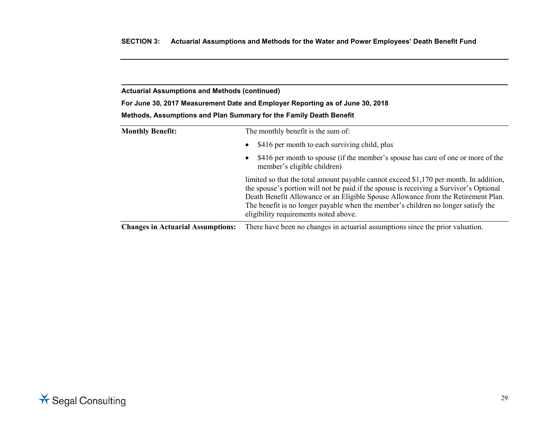**For June 30, 2017 Measurement Date and Employer Reporting as of June 30, 2018**

| Methods, Assumptions and Plan Summary for the Family Death Benefit |  |  |
|--------------------------------------------------------------------|--|--|
|--------------------------------------------------------------------|--|--|

| <b>Monthly Benefit:</b>                  | The monthly benefit is the sum of:                                                                                                                                                                                                                                                                                                                                                                  |  |  |  |  |  |
|------------------------------------------|-----------------------------------------------------------------------------------------------------------------------------------------------------------------------------------------------------------------------------------------------------------------------------------------------------------------------------------------------------------------------------------------------------|--|--|--|--|--|
|                                          | \$416 per month to each surviving child, plus<br>$\bullet$                                                                                                                                                                                                                                                                                                                                          |  |  |  |  |  |
|                                          | \$416 per month to spouse (if the member's spouse has care of one or more of the<br>$\bullet$<br>member's eligible children)                                                                                                                                                                                                                                                                        |  |  |  |  |  |
|                                          | limited so that the total amount payable cannot exceed \$1,170 per month. In addition,<br>the spouse's portion will not be paid if the spouse is receiving a Survivor's Optional<br>Death Benefit Allowance or an Eligible Spouse Allowance from the Retirement Plan.<br>The benefit is no longer payable when the member's children no longer satisfy the<br>eligibility requirements noted above. |  |  |  |  |  |
| <b>Changes in Actuarial Assumptions:</b> | There have been no changes in actuarial assumptions since the prior valuation.                                                                                                                                                                                                                                                                                                                      |  |  |  |  |  |

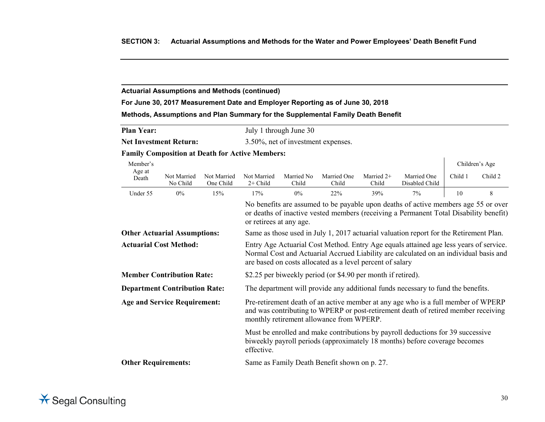# **For June 30, 2017 Measurement Date and Employer Reporting as of June 30, 2018**

## **Methods, Assumptions and Plan Summary for the Supplemental Family Death Benefit**

| <b>Plan Year:</b> | July 1 through June 30 |
|-------------------|------------------------|
|                   |                        |

**Net Investment Return:** 3.50%, net of investment expenses.

# **Family Composition at Death for Active Members:**

| Member's                             |                         |                          |                                                                                                                                                                                                                                             |                     |                      |                       |                                                                                        |         | Children's Age |  |
|--------------------------------------|-------------------------|--------------------------|---------------------------------------------------------------------------------------------------------------------------------------------------------------------------------------------------------------------------------------------|---------------------|----------------------|-----------------------|----------------------------------------------------------------------------------------|---------|----------------|--|
| Age at<br>Death                      | Not Married<br>No Child | Not Married<br>One Child | Not Married<br>$2+$ Child                                                                                                                                                                                                                   | Married No<br>Child | Married One<br>Child | Married $2+$<br>Child | Married One<br>Disabled Child                                                          | Child 1 | Child 2        |  |
| Under 55                             | $0\%$                   | 15%                      | 17%                                                                                                                                                                                                                                         | 0%                  | 22%                  | 39%                   | 7%                                                                                     | 10      | 8              |  |
|                                      |                         |                          | No benefits are assumed to be payable upon deaths of active members age 55 or over<br>or deaths of inactive vested members (receiving a Permanent Total Disability benefit)<br>or retirees at any age.                                      |                     |                      |                       |                                                                                        |         |                |  |
| <b>Other Actuarial Assumptions:</b>  |                         |                          |                                                                                                                                                                                                                                             |                     |                      |                       | Same as those used in July 1, 2017 actuarial valuation report for the Retirement Plan. |         |                |  |
| <b>Actuarial Cost Method:</b>        |                         |                          | Entry Age Actuarial Cost Method. Entry Age equals attained age less years of service.<br>Normal Cost and Actuarial Accrued Liability are calculated on an individual basis and<br>are based on costs allocated as a level percent of salary |                     |                      |                       |                                                                                        |         |                |  |
| <b>Member Contribution Rate:</b>     |                         |                          | \$2.25 per biweekly period (or \$4.90 per month if retired).                                                                                                                                                                                |                     |                      |                       |                                                                                        |         |                |  |
| <b>Department Contribution Rate:</b> |                         |                          | The department will provide any additional funds necessary to fund the benefits.                                                                                                                                                            |                     |                      |                       |                                                                                        |         |                |  |
| <b>Age and Service Requirement:</b>  |                         |                          | Pre-retirement death of an active member at any age who is a full member of WPERP<br>and was contributing to WPERP or post-retirement death of retired member receiving<br>monthly retirement allowance from WPERP.                         |                     |                      |                       |                                                                                        |         |                |  |
|                                      |                         |                          | Must be enrolled and make contributions by payroll deductions for 39 successive<br>biweekly payroll periods (approximately 18 months) before coverage becomes<br>effective.                                                                 |                     |                      |                       |                                                                                        |         |                |  |
| <b>Other Requirements:</b>           |                         |                          | Same as Family Death Benefit shown on p. 27.                                                                                                                                                                                                |                     |                      |                       |                                                                                        |         |                |  |

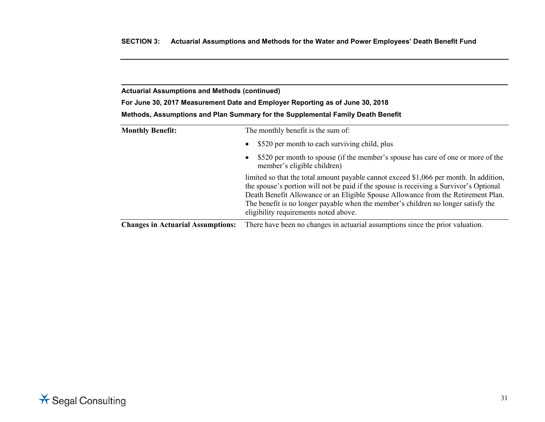**For June 30, 2017 Measurement Date and Employer Reporting as of June 30, 2018**

| <b>Monthly Benefit:</b>                  | The monthly benefit is the sum of:                                                                                                                                                                                                                                                                                                                                                                  |  |  |  |  |  |
|------------------------------------------|-----------------------------------------------------------------------------------------------------------------------------------------------------------------------------------------------------------------------------------------------------------------------------------------------------------------------------------------------------------------------------------------------------|--|--|--|--|--|
|                                          | \$520 per month to each surviving child, plus<br>$\bullet$                                                                                                                                                                                                                                                                                                                                          |  |  |  |  |  |
|                                          | \$520 per month to spouse (if the member's spouse has care of one or more of the<br>$\bullet$<br>member's eligible children)                                                                                                                                                                                                                                                                        |  |  |  |  |  |
|                                          | limited so that the total amount payable cannot exceed \$1,066 per month. In addition,<br>the spouse's portion will not be paid if the spouse is receiving a Survivor's Optional<br>Death Benefit Allowance or an Eligible Spouse Allowance from the Retirement Plan.<br>The benefit is no longer payable when the member's children no longer satisfy the<br>eligibility requirements noted above. |  |  |  |  |  |
| <b>Changes in Actuarial Assumptions:</b> | There have been no changes in actuarial assumptions since the prior valuation.                                                                                                                                                                                                                                                                                                                      |  |  |  |  |  |

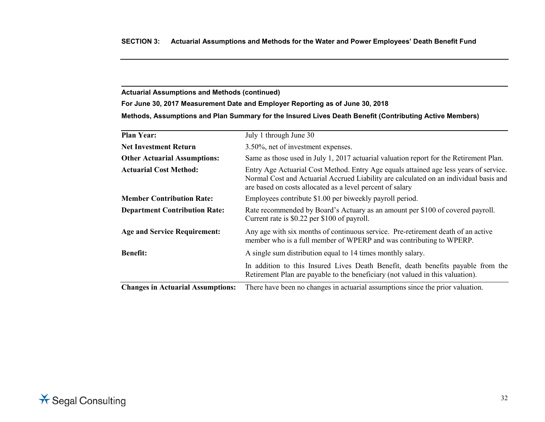**For June 30, 2017 Measurement Date and Employer Reporting as of June 30, 2018**

**Methods, Assumptions and Plan Summary for the Insured Lives Death Benefit (Contributing Active Members)**

| <b>Plan Year:</b>                    | July 1 through June 30                                                                                                                                                                                                                      |  |  |  |  |
|--------------------------------------|---------------------------------------------------------------------------------------------------------------------------------------------------------------------------------------------------------------------------------------------|--|--|--|--|
| <b>Net Investment Return</b>         | 3.50%, net of investment expenses.                                                                                                                                                                                                          |  |  |  |  |
| <b>Other Actuarial Assumptions:</b>  | Same as those used in July 1, 2017 actuarial valuation report for the Retirement Plan.                                                                                                                                                      |  |  |  |  |
| <b>Actuarial Cost Method:</b>        | Entry Age Actuarial Cost Method. Entry Age equals attained age less years of service.<br>Normal Cost and Actuarial Accrued Liability are calculated on an individual basis and<br>are based on costs allocated as a level percent of salary |  |  |  |  |
| <b>Member Contribution Rate:</b>     | Employees contribute \$1.00 per biweekly payroll period.                                                                                                                                                                                    |  |  |  |  |
| <b>Department Contribution Rate:</b> | Rate recommended by Board's Actuary as an amount per \$100 of covered payroll.<br>Current rate is \$0.22 per \$100 of payroll.                                                                                                              |  |  |  |  |
| <b>Age and Service Requirement:</b>  | Any age with six months of continuous service. Pre-retirement death of an active<br>member who is a full member of WPERP and was contributing to WPERP.                                                                                     |  |  |  |  |
| <b>Benefit:</b>                      | A single sum distribution equal to 14 times monthly salary.                                                                                                                                                                                 |  |  |  |  |
|                                      | In addition to this Insured Lives Death Benefit, death benefits payable from the<br>Retirement Plan are payable to the beneficiary (not valued in this valuation).                                                                          |  |  |  |  |
|                                      | $\alpha$ , and the contract of the contract of the contract of the contract of the contract of the contract of the contract of                                                                                                              |  |  |  |  |

**Changes in Actuarial Assumptions:** There have been no changes in actuarial assumptions since the prior valuation.